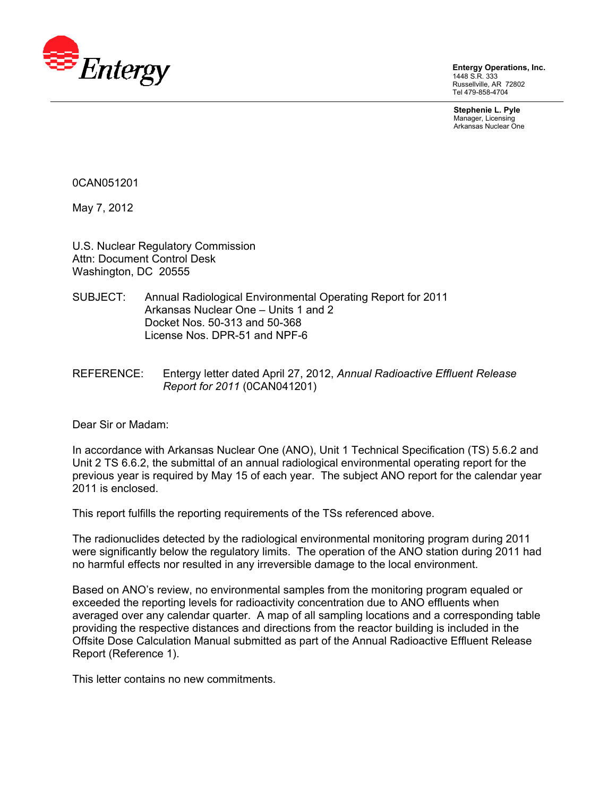

**Entergy Operations, Inc.**  1448 S.R. 333 Russellville, AR 72802 Tel 479-858-4704

**Stephenie L. Pyle**  Manager, Licensing Arkansas Nuclear One

0CAN051201

May 7, 2012

U.S. Nuclear Regulatory Commission Attn: Document Control Desk Washington, DC 20555

- SUBJECT: Annual Radiological Environmental Operating Report for 2011 Arkansas Nuclear One – Units 1 and 2 Docket Nos. 50-313 and 50-368 License Nos. DPR-51 and NPF-6
- REFERENCE: Entergy letter dated April 27, 2012, *Annual Radioactive Effluent Release Report for 2011* (0CAN041201)

Dear Sir or Madam:

In accordance with Arkansas Nuclear One (ANO), Unit 1 Technical Specification (TS) 5.6.2 and Unit 2 TS 6.6.2, the submittal of an annual radiological environmental operating report for the previous year is required by May 15 of each year. The subject ANO report for the calendar year 2011 is enclosed.

This report fulfills the reporting requirements of the TSs referenced above.

The radionuclides detected by the radiological environmental monitoring program during 2011 were significantly below the regulatory limits. The operation of the ANO station during 2011 had no harmful effects nor resulted in any irreversible damage to the local environment.

Based on ANO's review, no environmental samples from the monitoring program equaled or exceeded the reporting levels for radioactivity concentration due to ANO effluents when averaged over any calendar quarter. A map of all sampling locations and a corresponding table providing the respective distances and directions from the reactor building is included in the Offsite Dose Calculation Manual submitted as part of the Annual Radioactive Effluent Release Report (Reference 1).

This letter contains no new commitments.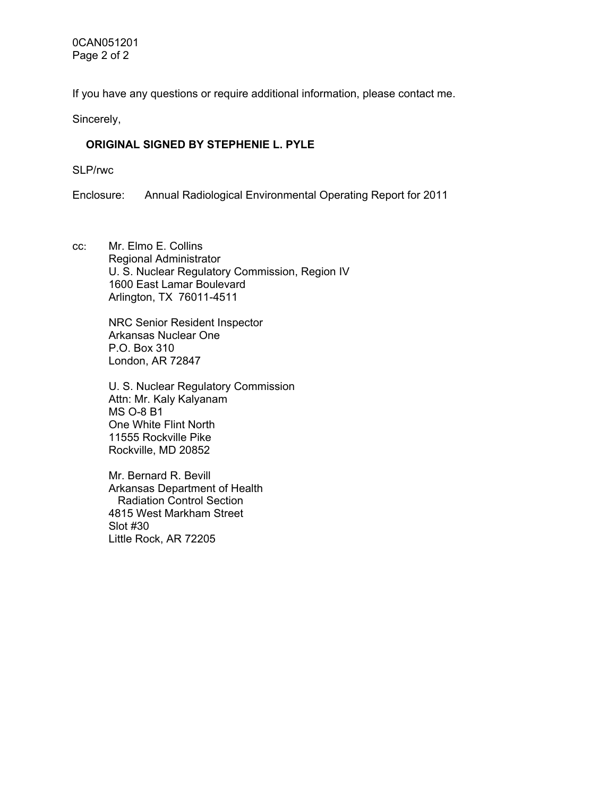If you have any questions or require additional information, please contact me.

Sincerely,

## **ORIGINAL SIGNED BY STEPHENIE L. PYLE**

SLP/rwc

Enclosure: Annual Radiological Environmental Operating Report for 2011

cc: Mr. Elmo E. Collins Regional Administrator U. S. Nuclear Regulatory Commission, Region IV 1600 East Lamar Boulevard Arlington, TX 76011-4511

> NRC Senior Resident Inspector Arkansas Nuclear One P.O. Box 310 London, AR 72847

U. S. Nuclear Regulatory Commission Attn: Mr. Kaly Kalyanam MS O-8 B1 One White Flint North 11555 Rockville Pike Rockville, MD 20852

Mr. Bernard R. Bevill Arkansas Department of Health Radiation Control Section 4815 West Markham Street Slot #30 Little Rock, AR 72205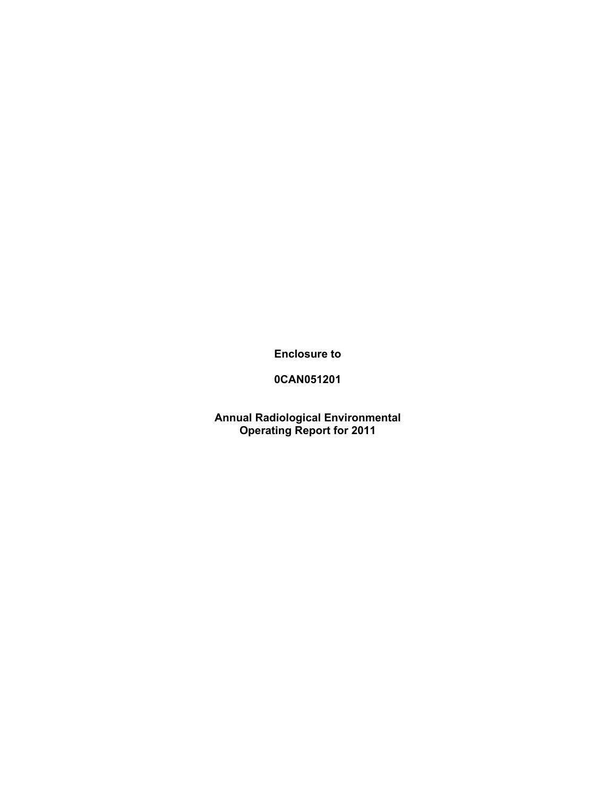**Enclosure to** 

## **0CAN051201**

**Annual Radiological Environmental Operating Report for 2011**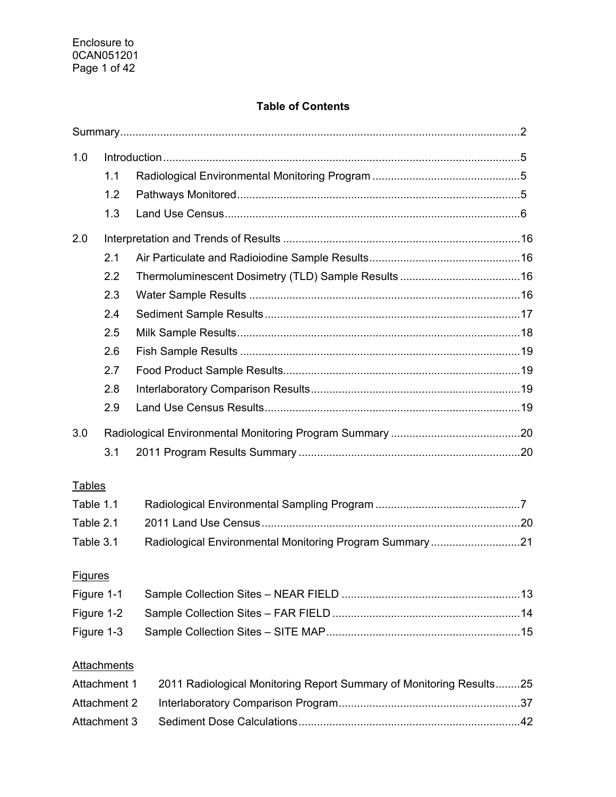## **Table of Contents**

| 1.0            |                     |                                                                     |  |
|----------------|---------------------|---------------------------------------------------------------------|--|
|                | 1.1                 |                                                                     |  |
|                | 1.2                 |                                                                     |  |
|                | 1.3                 |                                                                     |  |
| 2.0            |                     |                                                                     |  |
|                | 2.1                 |                                                                     |  |
|                | 2.2                 |                                                                     |  |
|                | 2.3                 |                                                                     |  |
|                | 2.4                 |                                                                     |  |
|                | 2.5                 |                                                                     |  |
|                | 2.6                 |                                                                     |  |
|                | 2.7                 |                                                                     |  |
|                | 2.8                 |                                                                     |  |
|                | 2.9                 |                                                                     |  |
| 3.0            |                     |                                                                     |  |
|                | 3.1                 |                                                                     |  |
| <b>Tables</b>  |                     |                                                                     |  |
| Table 1.1      |                     |                                                                     |  |
| Table 2.1      |                     |                                                                     |  |
| Table 3.1      |                     | Radiological Environmental Monitoring Program Summary21             |  |
|                |                     |                                                                     |  |
| <b>Figures</b> |                     |                                                                     |  |
| Figure 1-1     |                     |                                                                     |  |
| Figure 1-2     |                     |                                                                     |  |
| Figure 1-3     |                     |                                                                     |  |
|                | Attachments         |                                                                     |  |
|                | Attachment 1        | 2011 Radiological Monitoring Report Summary of Monitoring Results25 |  |
|                | <b>Attachment 2</b> |                                                                     |  |
|                | Attachment 3        |                                                                     |  |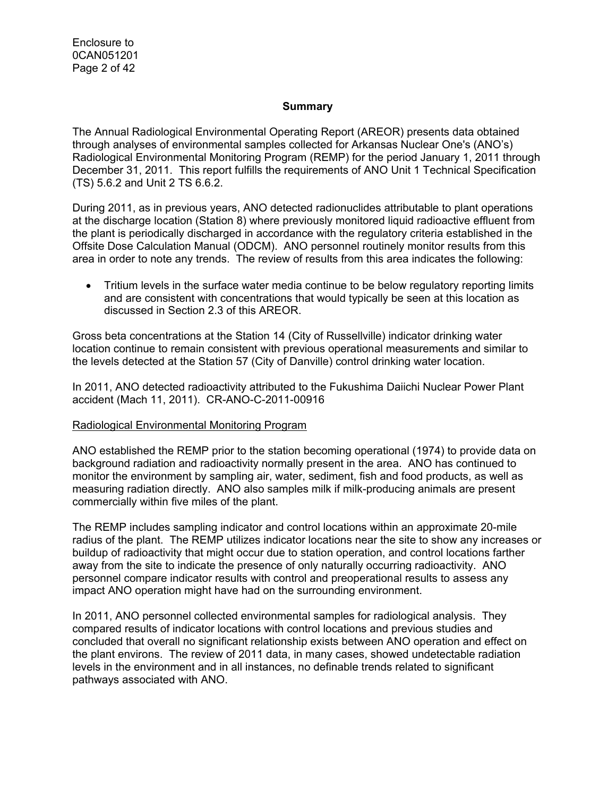Enclosure to 0CAN051201 Page 2 of 42

#### **Summary**

The Annual Radiological Environmental Operating Report (AREOR) presents data obtained through analyses of environmental samples collected for Arkansas Nuclear One's (ANO's) Radiological Environmental Monitoring Program (REMP) for the period January 1, 2011 through December 31, 2011. This report fulfills the requirements of ANO Unit 1 Technical Specification (TS) 5.6.2 and Unit 2 TS 6.6.2.

During 2011, as in previous years, ANO detected radionuclides attributable to plant operations at the discharge location (Station 8) where previously monitored liquid radioactive effluent from the plant is periodically discharged in accordance with the regulatory criteria established in the Offsite Dose Calculation Manual (ODCM). ANO personnel routinely monitor results from this area in order to note any trends. The review of results from this area indicates the following:

• Tritium levels in the surface water media continue to be below regulatory reporting limits and are consistent with concentrations that would typically be seen at this location as discussed in Section 2.3 of this AREOR.

Gross beta concentrations at the Station 14 (City of Russellville) indicator drinking water location continue to remain consistent with previous operational measurements and similar to the levels detected at the Station 57 (City of Danville) control drinking water location.

In 2011, ANO detected radioactivity attributed to the Fukushima Daiichi Nuclear Power Plant accident (Mach 11, 2011). CR-ANO-C-2011-00916

#### Radiological Environmental Monitoring Program

ANO established the REMP prior to the station becoming operational (1974) to provide data on background radiation and radioactivity normally present in the area. ANO has continued to monitor the environment by sampling air, water, sediment, fish and food products, as well as measuring radiation directly. ANO also samples milk if milk-producing animals are present commercially within five miles of the plant.

The REMP includes sampling indicator and control locations within an approximate 20-mile radius of the plant. The REMP utilizes indicator locations near the site to show any increases or buildup of radioactivity that might occur due to station operation, and control locations farther away from the site to indicate the presence of only naturally occurring radioactivity. ANO personnel compare indicator results with control and preoperational results to assess any impact ANO operation might have had on the surrounding environment.

In 2011, ANO personnel collected environmental samples for radiological analysis. They compared results of indicator locations with control locations and previous studies and concluded that overall no significant relationship exists between ANO operation and effect on the plant environs. The review of 2011 data, in many cases, showed undetectable radiation levels in the environment and in all instances, no definable trends related to significant pathways associated with ANO.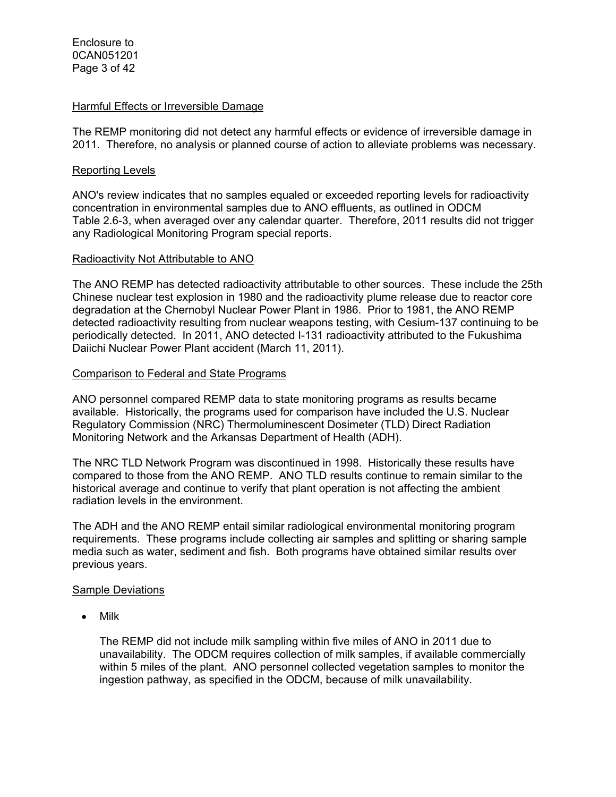#### Harmful Effects or Irreversible Damage

The REMP monitoring did not detect any harmful effects or evidence of irreversible damage in 2011. Therefore, no analysis or planned course of action to alleviate problems was necessary.

#### Reporting Levels

ANO's review indicates that no samples equaled or exceeded reporting levels for radioactivity concentration in environmental samples due to ANO effluents, as outlined in ODCM Table 2.6-3, when averaged over any calendar quarter. Therefore, 2011 results did not trigger any Radiological Monitoring Program special reports.

#### Radioactivity Not Attributable to ANO

The ANO REMP has detected radioactivity attributable to other sources. These include the 25th Chinese nuclear test explosion in 1980 and the radioactivity plume release due to reactor core degradation at the Chernobyl Nuclear Power Plant in 1986. Prior to 1981, the ANO REMP detected radioactivity resulting from nuclear weapons testing, with Cesium-137 continuing to be periodically detected. In 2011, ANO detected I-131 radioactivity attributed to the Fukushima Daiichi Nuclear Power Plant accident (March 11, 2011).

#### Comparison to Federal and State Programs

ANO personnel compared REMP data to state monitoring programs as results became available. Historically, the programs used for comparison have included the U.S. Nuclear Regulatory Commission (NRC) Thermoluminescent Dosimeter (TLD) Direct Radiation Monitoring Network and the Arkansas Department of Health (ADH).

The NRC TLD Network Program was discontinued in 1998. Historically these results have compared to those from the ANO REMP. ANO TLD results continue to remain similar to the historical average and continue to verify that plant operation is not affecting the ambient radiation levels in the environment.

The ADH and the ANO REMP entail similar radiological environmental monitoring program requirements. These programs include collecting air samples and splitting or sharing sample media such as water, sediment and fish. Both programs have obtained similar results over previous years.

#### Sample Deviations

• Milk

The REMP did not include milk sampling within five miles of ANO in 2011 due to unavailability. The ODCM requires collection of milk samples, if available commercially within 5 miles of the plant. ANO personnel collected vegetation samples to monitor the ingestion pathway, as specified in the ODCM, because of milk unavailability.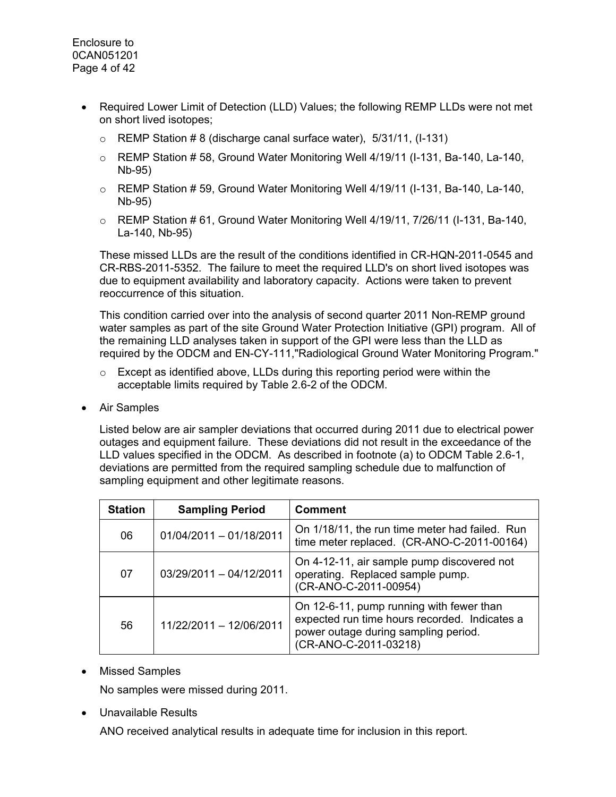- Required Lower Limit of Detection (LLD) Values; the following REMP LLDs were not met on short lived isotopes;
	- $\circ$  REMP Station #8 (discharge canal surface water), 5/31/11, (I-131)
	- $\circ$  REMP Station #58, Ground Water Monitoring Well 4/19/11 (I-131, Ba-140, La-140, Nb-95)
	- $\circ$  REMP Station #59, Ground Water Monitoring Well 4/19/11 (I-131, Ba-140, La-140, Nb-95)
	- $\circ$  REMP Station #61, Ground Water Monitoring Well 4/19/11, 7/26/11 (I-131, Ba-140, La-140, Nb-95)

These missed LLDs are the result of the conditions identified in CR-HQN-2011-0545 and CR-RBS-2011-5352. The failure to meet the required LLD's on short lived isotopes was due to equipment availability and laboratory capacity. Actions were taken to prevent reoccurrence of this situation.

This condition carried over into the analysis of second quarter 2011 Non-REMP ground water samples as part of the site Ground Water Protection Initiative (GPI) program. All of the remaining LLD analyses taken in support of the GPI were less than the LLD as required by the ODCM and EN-CY-111,"Radiological Ground Water Monitoring Program."

- $\circ$  Except as identified above, LLDs during this reporting period were within the acceptable limits required by Table 2.6-2 of the ODCM.
- Air Samples

Listed below are air sampler deviations that occurred during 2011 due to electrical power outages and equipment failure. These deviations did not result in the exceedance of the LLD values specified in the ODCM. As described in footnote (a) to ODCM Table 2.6-1, deviations are permitted from the required sampling schedule due to malfunction of sampling equipment and other legitimate reasons.

| <b>Station</b> | <b>Sampling Period</b>  | <b>Comment</b>                                                                                                                                             |
|----------------|-------------------------|------------------------------------------------------------------------------------------------------------------------------------------------------------|
| 06             | 01/04/2011 - 01/18/2011 | On 1/18/11, the run time meter had failed. Run<br>time meter replaced. (CR-ANO-C-2011-00164)                                                               |
| 07             | 03/29/2011 - 04/12/2011 | On 4-12-11, air sample pump discovered not<br>operating. Replaced sample pump.<br>(CR-ANO-C-2011-00954)                                                    |
| 56             | 11/22/2011 - 12/06/2011 | On 12-6-11, pump running with fewer than<br>expected run time hours recorded. Indicates a<br>power outage during sampling period.<br>(CR-ANO-C-2011-03218) |

• Missed Samples

No samples were missed during 2011.

• Unavailable Results

ANO received analytical results in adequate time for inclusion in this report.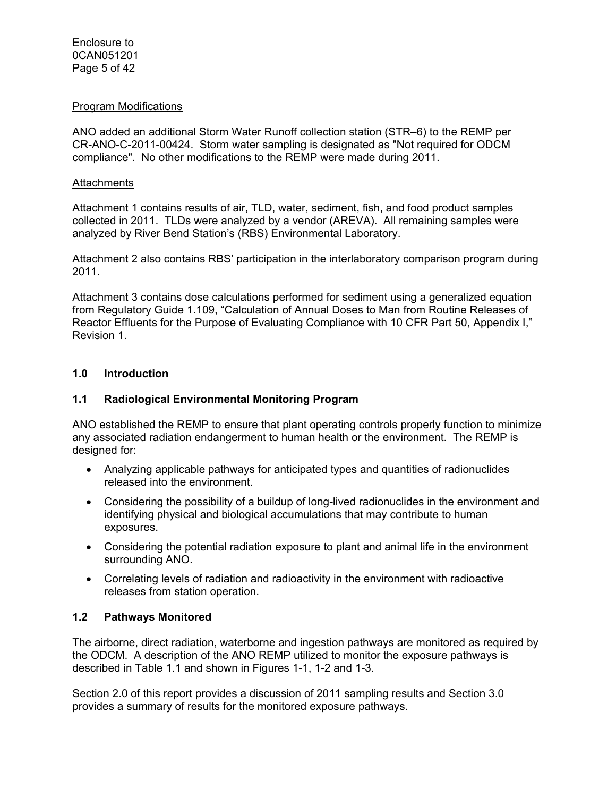#### Program Modifications

ANO added an additional Storm Water Runoff collection station (STR–6) to the REMP per CR-ANO-C-2011-00424. Storm water sampling is designated as "Not required for ODCM compliance". No other modifications to the REMP were made during 2011.

#### **Attachments**

Attachment 1 contains results of air, TLD, water, sediment, fish, and food product samples collected in 2011. TLDs were analyzed by a vendor (AREVA). All remaining samples were analyzed by River Bend Station's (RBS) Environmental Laboratory.

Attachment 2 also contains RBS' participation in the interlaboratory comparison program during 2011.

Attachment 3 contains dose calculations performed for sediment using a generalized equation from Regulatory Guide 1.109, "Calculation of Annual Doses to Man from Routine Releases of Reactor Effluents for the Purpose of Evaluating Compliance with 10 CFR Part 50, Appendix I," Revision 1.

#### **1.0 Introduction**

#### **1.1 Radiological Environmental Monitoring Program**

ANO established the REMP to ensure that plant operating controls properly function to minimize any associated radiation endangerment to human health or the environment. The REMP is designed for:

- Analyzing applicable pathways for anticipated types and quantities of radionuclides released into the environment.
- Considering the possibility of a buildup of long-lived radionuclides in the environment and identifying physical and biological accumulations that may contribute to human exposures.
- Considering the potential radiation exposure to plant and animal life in the environment surrounding ANO.
- Correlating levels of radiation and radioactivity in the environment with radioactive releases from station operation.

## **1.2 Pathways Monitored**

The airborne, direct radiation, waterborne and ingestion pathways are monitored as required by the ODCM. A description of the ANO REMP utilized to monitor the exposure pathways is described in Table 1.1 and shown in Figures 1-1, 1-2 and 1-3.

Section 2.0 of this report provides a discussion of 2011 sampling results and Section 3.0 provides a summary of results for the monitored exposure pathways.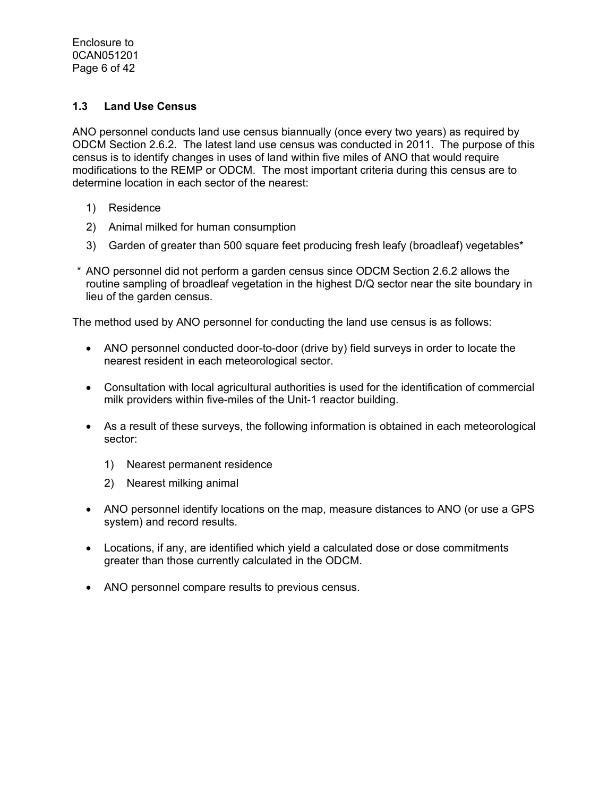## **1.3 Land Use Census**

ANO personnel conducts land use census biannually (once every two years) as required by ODCM Section 2.6.2. The latest land use census was conducted in 2011. The purpose of this census is to identify changes in uses of land within five miles of ANO that would require modifications to the REMP or ODCM. The most important criteria during this census are to determine location in each sector of the nearest:

- 1) Residence
- 2) Animal milked for human consumption
- 3) Garden of greater than 500 square feet producing fresh leafy (broadleaf) vegetables\*
- \* ANO personnel did not perform a garden census since ODCM Section 2.6.2 allows the routine sampling of broadleaf vegetation in the highest D/Q sector near the site boundary in lieu of the garden census.

The method used by ANO personnel for conducting the land use census is as follows:

- ANO personnel conducted door-to-door (drive by) field surveys in order to locate the nearest resident in each meteorological sector.
- Consultation with local agricultural authorities is used for the identification of commercial milk providers within five-miles of the Unit-1 reactor building.
- As a result of these surveys, the following information is obtained in each meteorological sector:
	- 1) Nearest permanent residence
	- 2) Nearest milking animal
- ANO personnel identify locations on the map, measure distances to ANO (or use a GPS system) and record results.
- Locations, if any, are identified which yield a calculated dose or dose commitments greater than those currently calculated in the ODCM.
- ANO personnel compare results to previous census.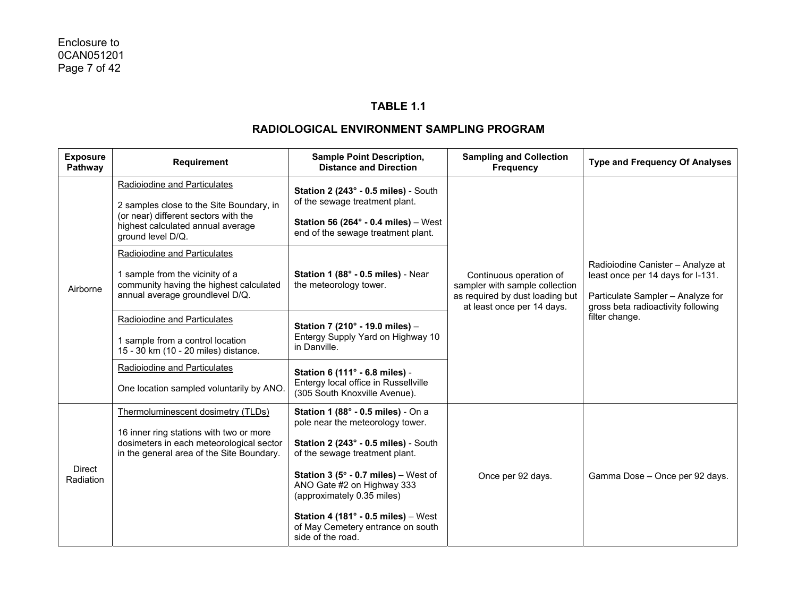## **TABLE 1.1**

| <b>Exposure</b><br>Pathway | Requirement                                                                                                                                                                | <b>Sample Point Description,</b><br><b>Distance and Direction</b>                                                                                                                                                                                                                                                                                                                          | <b>Sampling and Collection</b><br><b>Frequency</b> | <b>Type and Frequency Of Analyses</b>                                                                                                             |
|----------------------------|----------------------------------------------------------------------------------------------------------------------------------------------------------------------------|--------------------------------------------------------------------------------------------------------------------------------------------------------------------------------------------------------------------------------------------------------------------------------------------------------------------------------------------------------------------------------------------|----------------------------------------------------|---------------------------------------------------------------------------------------------------------------------------------------------------|
| Airborne                   | Radioiodine and Particulates<br>2 samples close to the Site Boundary, in<br>(or near) different sectors with the<br>highest calculated annual average<br>ground level D/Q. | Station 2 (243° - 0.5 miles) - South<br>of the sewage treatment plant.<br>Station 56 (264 $\degree$ - 0.4 miles) – West<br>end of the sewage treatment plant.                                                                                                                                                                                                                              |                                                    |                                                                                                                                                   |
|                            | Radioiodine and Particulates<br>1 sample from the vicinity of a<br>community having the highest calculated<br>annual average groundlevel D/Q.                              | Station 1 (88° - 0.5 miles) - Near<br>Continuous operation of<br>the meteorology tower.<br>sampler with sample collection<br>as required by dust loading but<br>at least once per 14 days.                                                                                                                                                                                                 |                                                    | Radioiodine Canister - Analyze at<br>least once per 14 days for I-131.<br>Particulate Sampler - Analyze for<br>gross beta radioactivity following |
|                            | Radioiodine and Particulates<br>1 sample from a control location<br>15 - 30 km (10 - 20 miles) distance.                                                                   | Station 7 (210° - 19.0 miles) -<br>Entergy Supply Yard on Highway 10<br>in Danville.                                                                                                                                                                                                                                                                                                       |                                                    | filter change.                                                                                                                                    |
|                            | Radioiodine and Particulates<br>One location sampled voluntarily by ANO.                                                                                                   | Station 6 (111° - 6.8 miles) -<br>Entergy local office in Russellville<br>(305 South Knoxville Avenue).                                                                                                                                                                                                                                                                                    |                                                    |                                                                                                                                                   |
| <b>Direct</b><br>Radiation | Thermoluminescent dosimetry (TLDs)<br>16 inner ring stations with two or more<br>dosimeters in each meteorological sector<br>in the general area of the Site Boundary.     | Station 1 (88° - 0.5 miles) - On a<br>pole near the meteorology tower.<br>Station 2 (243° - 0.5 miles) - South<br>of the sewage treatment plant.<br><b>Station 3 (5<math>^{\circ}</math> - 0.7 miles)</b> – West of<br>ANO Gate #2 on Highway 333<br>(approximately 0.35 miles)<br>Station 4 (181 $^{\circ}$ - 0.5 miles) - West<br>of May Cemetery entrance on south<br>side of the road. | Once per 92 days.                                  | Gamma Dose - Once per 92 days.                                                                                                                    |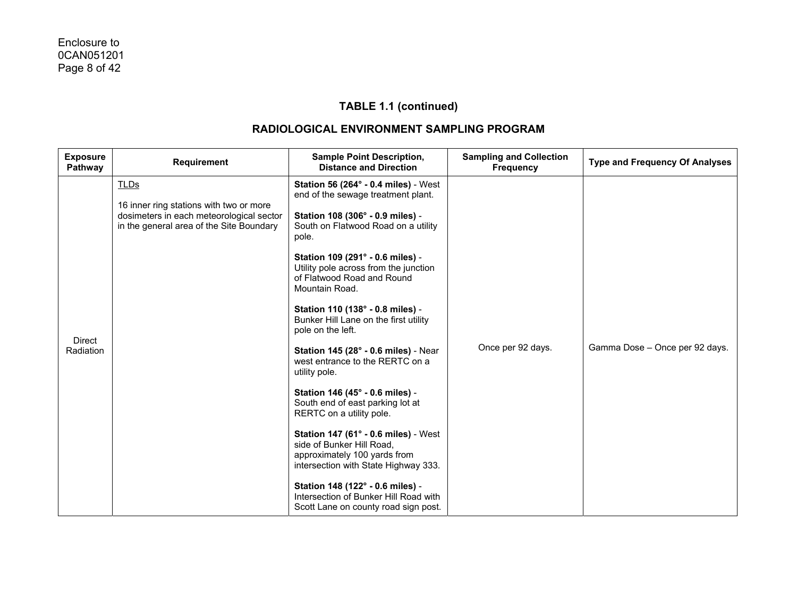| <b>Exposure</b><br>Pathway | Requirement                                                                                                                                    | <b>Sample Point Description,</b><br><b>Distance and Direction</b>                                                                                                                                                                                                                                                                                                                                                                                                                                                                                                                                                                                                                                                                                                                                                                                                            | <b>Sampling and Collection</b><br><b>Frequency</b> | <b>Type and Frequency Of Analyses</b> |
|----------------------------|------------------------------------------------------------------------------------------------------------------------------------------------|------------------------------------------------------------------------------------------------------------------------------------------------------------------------------------------------------------------------------------------------------------------------------------------------------------------------------------------------------------------------------------------------------------------------------------------------------------------------------------------------------------------------------------------------------------------------------------------------------------------------------------------------------------------------------------------------------------------------------------------------------------------------------------------------------------------------------------------------------------------------------|----------------------------------------------------|---------------------------------------|
| <b>Direct</b><br>Radiation | <b>TLDs</b><br>16 inner ring stations with two or more<br>dosimeters in each meteorological sector<br>in the general area of the Site Boundary | <b>Station 56 (264° - 0.4 miles)</b> - West<br>end of the sewage treatment plant.<br>Station 108 (306° - 0.9 miles) -<br>South on Flatwood Road on a utility<br>pole.<br>Station 109 (291° - 0.6 miles) -<br>Utility pole across from the junction<br>of Flatwood Road and Round<br>Mountain Road.<br>Station 110 (138° - 0.8 miles) -<br>Bunker Hill Lane on the first utility<br>pole on the left.<br><b>Station 145 (28° - 0.6 miles) - Near</b><br>west entrance to the RERTC on a<br>utility pole.<br>Station 146 (45° - 0.6 miles) -<br>South end of east parking lot at<br>RERTC on a utility pole.<br>Station 147 (61° - 0.6 miles) - West<br>side of Bunker Hill Road,<br>approximately 100 yards from<br>intersection with State Highway 333.<br>Station 148 (122° - 0.6 miles) -<br>Intersection of Bunker Hill Road with<br>Scott Lane on county road sign post. | Once per 92 days.                                  | Gamma Dose - Once per 92 days.        |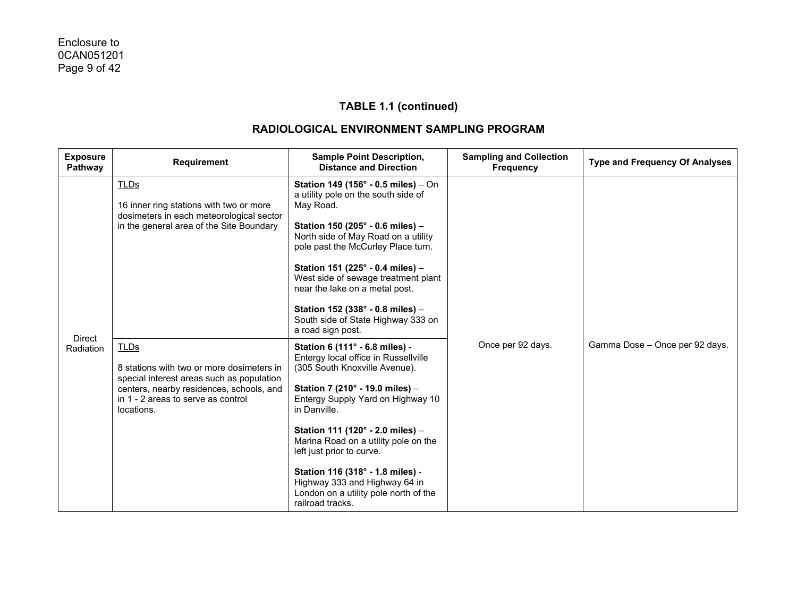| <b>Exposure</b><br>Pathway | <b>Requirement</b>                                                                                                                                                                                    | <b>Sample Point Description,</b><br><b>Distance and Direction</b>                                                                                                                                                                                                                                                                                                                                                                          | <b>Sampling and Collection</b><br><b>Frequency</b> | <b>Type and Frequency Of Analyses</b> |
|----------------------------|-------------------------------------------------------------------------------------------------------------------------------------------------------------------------------------------------------|--------------------------------------------------------------------------------------------------------------------------------------------------------------------------------------------------------------------------------------------------------------------------------------------------------------------------------------------------------------------------------------------------------------------------------------------|----------------------------------------------------|---------------------------------------|
| <b>Direct</b>              | TLDs<br>16 inner ring stations with two or more<br>dosimeters in each meteorological sector<br>in the general area of the Site Boundary                                                               | Station 149 (156° - 0.5 miles) - On<br>a utility pole on the south side of<br>May Road.<br>Station 150 (205° - 0.6 miles) -<br>North side of May Road on a utility<br>pole past the McCurley Place turn.<br>Station 151 (225° - 0.4 miles) -<br>West side of sewage treatment plant<br>near the lake on a metal post.<br>Station 152 (338° - 0.8 miles) -<br>South side of State Highway 333 on<br>a road sign post.                       |                                                    |                                       |
| Radiation                  | <b>TLDs</b><br>8 stations with two or more dosimeters in<br>special interest areas such as population<br>centers, nearby residences, schools, and<br>in 1 - 2 areas to serve as control<br>locations. | Station 6 (111° - 6.8 miles) -<br>Entergy local office in Russellville<br>(305 South Knoxville Avenue).<br>Station 7 (210° - 19.0 miles) -<br>Entergy Supply Yard on Highway 10<br>in Danville.<br>Station 111 (120° - 2.0 miles) -<br>Marina Road on a utility pole on the<br>left just prior to curve.<br>Station 116 (318° - 1.8 miles) -<br>Highway 333 and Highway 64 in<br>London on a utility pole north of the<br>railroad tracks. | Once per 92 days.                                  | Gamma Dose - Once per 92 days.        |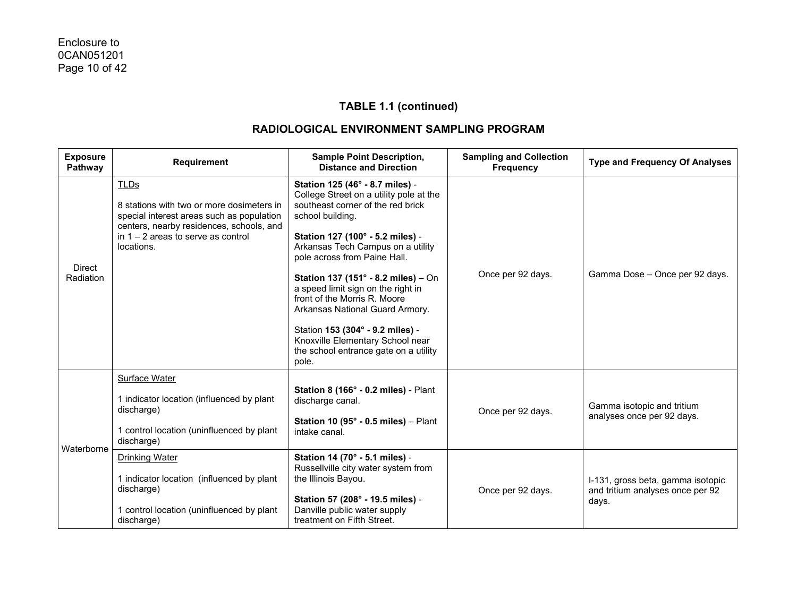| <b>Exposure</b><br>Pathway | <b>Requirement</b>                                                                                                                                                                                      | <b>Sample Point Description,</b><br><b>Distance and Direction</b>                                                                                                                                                                                                                                                                                                                                                                                                                                                      | <b>Sampling and Collection</b><br><b>Frequency</b> | <b>Type and Frequency Of Analyses</b>                                          |
|----------------------------|---------------------------------------------------------------------------------------------------------------------------------------------------------------------------------------------------------|------------------------------------------------------------------------------------------------------------------------------------------------------------------------------------------------------------------------------------------------------------------------------------------------------------------------------------------------------------------------------------------------------------------------------------------------------------------------------------------------------------------------|----------------------------------------------------|--------------------------------------------------------------------------------|
| Direct<br>Radiation        | <b>TLDs</b><br>8 stations with two or more dosimeters in<br>special interest areas such as population<br>centers, nearby residences, schools, and<br>in $1 - 2$ areas to serve as control<br>locations. | Station 125 (46° - 8.7 miles) -<br>College Street on a utility pole at the<br>southeast corner of the red brick<br>school building.<br>Station 127 (100° - 5.2 miles) -<br>Arkansas Tech Campus on a utility<br>pole across from Paine Hall.<br>Station 137 (151° - 8.2 miles) - On<br>a speed limit sign on the right in<br>front of the Morris R. Moore<br>Arkansas National Guard Armory.<br>Station 153 (304° - 9.2 miles) -<br>Knoxville Elementary School near<br>the school entrance gate on a utility<br>pole. | Once per 92 days.                                  | Gamma Dose - Once per 92 days.                                                 |
| Waterborne                 | Surface Water<br>1 indicator location (influenced by plant<br>discharge)<br>1 control location (uninfluenced by plant<br>discharge)                                                                     | Station 8 (166° - 0.2 miles) - Plant<br>discharge canal.<br>Station 10 (95 $^{\circ}$ - 0.5 miles) - Plant<br>intake canal.                                                                                                                                                                                                                                                                                                                                                                                            | Once per 92 days.                                  | Gamma isotopic and tritium<br>analyses once per 92 days.                       |
|                            | <b>Drinking Water</b><br>1 indicator location (influenced by plant<br>discharge)<br>1 control location (uninfluenced by plant<br>discharge)                                                             | Station 14 (70° - 5.1 miles) -<br>Russellville city water system from<br>the Illinois Bayou.<br>Station 57 (208° - 19.5 miles) -<br>Danville public water supply<br>treatment on Fifth Street.                                                                                                                                                                                                                                                                                                                         | Once per 92 days.                                  | I-131, gross beta, gamma isotopic<br>and tritium analyses once per 92<br>days. |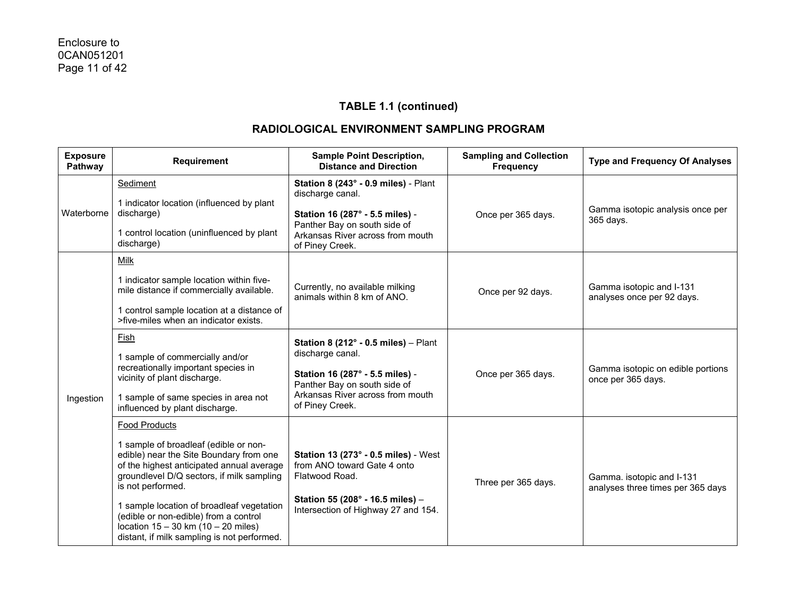| <b>Exposure</b><br>Pathway | Requirement                                                                                                                                                                                                                                                                                                                                                                                      | <b>Sample Point Description,</b><br><b>Distance and Direction</b>                                                                                                                            | <b>Sampling and Collection</b><br><b>Frequency</b> | <b>Type and Frequency Of Analyses</b>                          |
|----------------------------|--------------------------------------------------------------------------------------------------------------------------------------------------------------------------------------------------------------------------------------------------------------------------------------------------------------------------------------------------------------------------------------------------|----------------------------------------------------------------------------------------------------------------------------------------------------------------------------------------------|----------------------------------------------------|----------------------------------------------------------------|
| Waterborne                 | Sediment<br>1 indicator location (influenced by plant<br>discharge)<br>1 control location (uninfluenced by plant<br>discharge)                                                                                                                                                                                                                                                                   | Station 8 (243° - 0.9 miles) - Plant<br>discharge canal.<br>Station 16 (287° - 5.5 miles) -<br>Panther Bay on south side of<br>Arkansas River across from mouth<br>of Piney Creek.           | Once per 365 days.                                 | Gamma isotopic analysis once per<br>365 days.                  |
| Ingestion                  | Milk<br>1 indicator sample location within five-<br>mile distance if commercially available.<br>1 control sample location at a distance of<br>>five-miles when an indicator exists.                                                                                                                                                                                                              | Currently, no available milking<br>animals within 8 km of ANO.                                                                                                                               | Once per 92 days.                                  | Gamma isotopic and I-131<br>analyses once per 92 days.         |
|                            | Fish<br>1 sample of commercially and/or<br>recreationally important species in<br>vicinity of plant discharge.<br>1 sample of same species in area not<br>influenced by plant discharge.                                                                                                                                                                                                         | Station 8 (212 $^{\circ}$ - 0.5 miles) - Plant<br>discharge canal.<br>Station 16 (287° - 5.5 miles) -<br>Panther Bay on south side of<br>Arkansas River across from mouth<br>of Piney Creek. | Once per 365 days.                                 | Gamma isotopic on edible portions<br>once per 365 days.        |
|                            | Food Products<br>1 sample of broadleaf (edible or non-<br>edible) near the Site Boundary from one<br>of the highest anticipated annual average<br>groundlevel D/Q sectors, if milk sampling<br>is not performed.<br>1 sample location of broadleaf vegetation<br>(edible or non-edible) from a control<br>location $15 - 30$ km $(10 - 20$ miles)<br>distant, if milk sampling is not performed. | <b>Station 13 (273° - 0.5 miles)</b> - West<br>from ANO toward Gate 4 onto<br>Flatwood Road.<br>Station 55 (208° - 16.5 miles) -<br>Intersection of Highway 27 and 154.                      | Three per 365 days.                                | Gamma. isotopic and I-131<br>analyses three times per 365 days |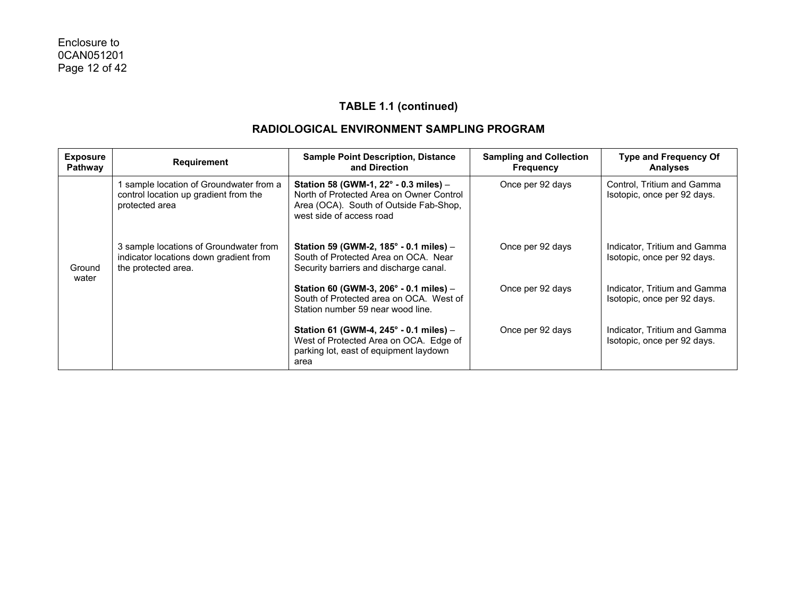| <b>Exposure</b><br>Pathway | Requirement                                                                                             | <b>Sample Point Description, Distance</b><br>and Direction                                                                                              | <b>Sampling and Collection</b><br><b>Frequency</b> | <b>Type and Frequency Of</b><br><b>Analyses</b>             |
|----------------------------|---------------------------------------------------------------------------------------------------------|---------------------------------------------------------------------------------------------------------------------------------------------------------|----------------------------------------------------|-------------------------------------------------------------|
|                            | sample location of Groundwater from a<br>control location up gradient from the<br>protected area        | Station 58 (GWM-1, 22° - 0.3 miles) -<br>North of Protected Area on Owner Control<br>Area (OCA). South of Outside Fab-Shop,<br>west side of access road | Once per 92 days                                   | Control, Tritium and Gamma<br>Isotopic, once per 92 days.   |
| Ground<br>water            | 3 sample locations of Groundwater from<br>indicator locations down gradient from<br>the protected area. | Station 59 (GWM-2, 185° - 0.1 miles) –<br>South of Protected Area on OCA. Near<br>Security barriers and discharge canal.                                | Once per 92 days                                   | Indicator, Tritium and Gamma<br>Isotopic, once per 92 days. |
|                            |                                                                                                         | Station 60 (GWM-3, 206 $^{\circ}$ - 0.1 miles) -<br>South of Protected area on OCA. West of<br>Station number 59 near wood line.                        | Once per 92 days                                   | Indicator, Tritium and Gamma<br>Isotopic, once per 92 days. |
|                            |                                                                                                         | Station 61 (GWM-4, $245^{\circ}$ - 0.1 miles) -<br>West of Protected Area on OCA. Edge of<br>parking lot, east of equipment laydown<br>area             | Once per 92 days                                   | Indicator, Tritium and Gamma<br>Isotopic, once per 92 days. |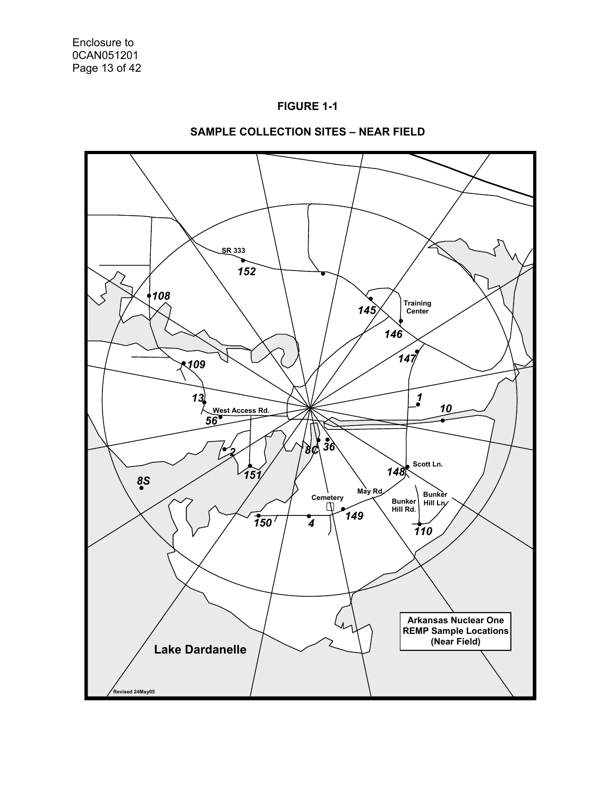



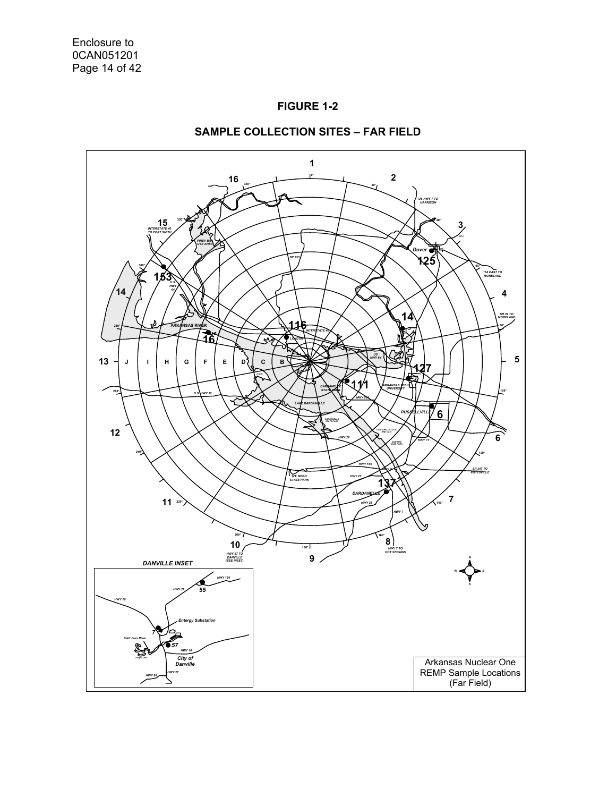



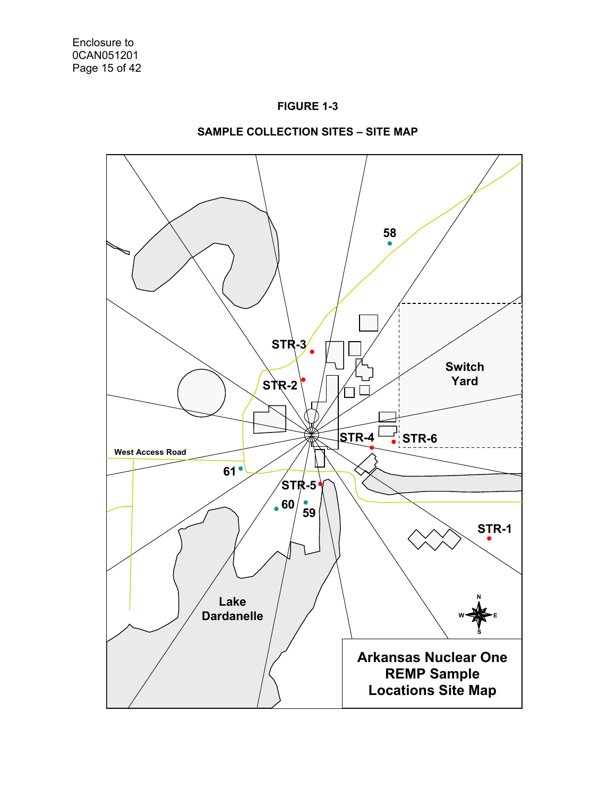



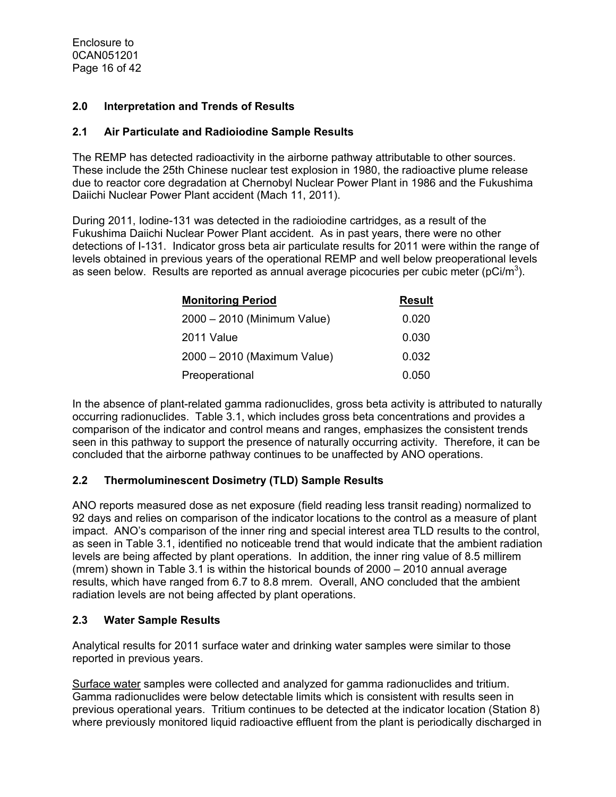Enclosure to 0CAN051201 Page 16 of 42

#### **2.0 Interpretation and Trends of Results**

#### **2.1 Air Particulate and Radioiodine Sample Results**

The REMP has detected radioactivity in the airborne pathway attributable to other sources. These include the 25th Chinese nuclear test explosion in 1980, the radioactive plume release due to reactor core degradation at Chernobyl Nuclear Power Plant in 1986 and the Fukushima Daiichi Nuclear Power Plant accident (Mach 11, 2011).

During 2011, Iodine-131 was detected in the radioiodine cartridges, as a result of the Fukushima Daiichi Nuclear Power Plant accident. As in past years, there were no other detections of I-131. Indicator gross beta air particulate results for 2011 were within the range of levels obtained in previous years of the operational REMP and well below preoperational levels as seen below. Results are reported as annual average picocuries per cubic meter (pCi/m<sup>3</sup>).

| <b>Monitoring Period</b>    | <b>Result</b> |
|-----------------------------|---------------|
| 2000 - 2010 (Minimum Value) | 0.020         |
| 2011 Value                  | 0.030         |
| 2000 - 2010 (Maximum Value) | 0.032         |
| Preoperational              | 0.050         |

In the absence of plant-related gamma radionuclides, gross beta activity is attributed to naturally occurring radionuclides. Table 3.1, which includes gross beta concentrations and provides a comparison of the indicator and control means and ranges, emphasizes the consistent trends seen in this pathway to support the presence of naturally occurring activity. Therefore, it can be concluded that the airborne pathway continues to be unaffected by ANO operations.

## **2.2 Thermoluminescent Dosimetry (TLD) Sample Results**

ANO reports measured dose as net exposure (field reading less transit reading) normalized to 92 days and relies on comparison of the indicator locations to the control as a measure of plant impact. ANO's comparison of the inner ring and special interest area TLD results to the control, as seen in Table 3.1, identified no noticeable trend that would indicate that the ambient radiation levels are being affected by plant operations. In addition, the inner ring value of 8.5 millirem (mrem) shown in Table 3.1 is within the historical bounds of 2000 – 2010 annual average results, which have ranged from 6.7 to 8.8 mrem. Overall, ANO concluded that the ambient radiation levels are not being affected by plant operations.

## **2.3 Water Sample Results**

Analytical results for 2011 surface water and drinking water samples were similar to those reported in previous years.

Surface water samples were collected and analyzed for gamma radionuclides and tritium. Gamma radionuclides were below detectable limits which is consistent with results seen in previous operational years. Tritium continues to be detected at the indicator location (Station 8) where previously monitored liquid radioactive effluent from the plant is periodically discharged in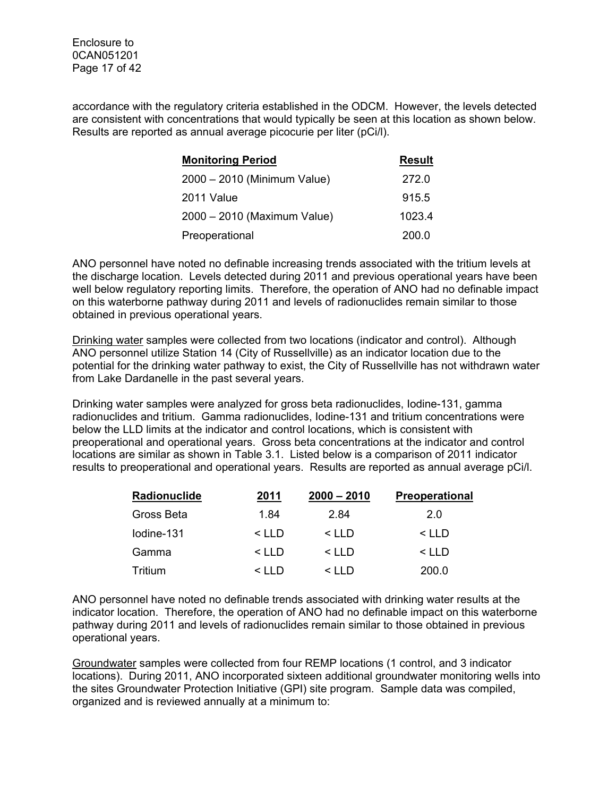Enclosure to 0CAN051201 Page 17 of 42

accordance with the regulatory criteria established in the ODCM. However, the levels detected are consistent with concentrations that would typically be seen at this location as shown below. Results are reported as annual average picocurie per liter (pCi/l).

| <b>Monitoring Period</b>    | <b>Result</b> |
|-----------------------------|---------------|
| 2000 - 2010 (Minimum Value) | 272.0         |
| 2011 Value                  | 915.5         |
| 2000 - 2010 (Maximum Value) | 1023.4        |
| Preoperational              | 200.0         |

ANO personnel have noted no definable increasing trends associated with the tritium levels at the discharge location. Levels detected during 2011 and previous operational years have been well below regulatory reporting limits. Therefore, the operation of ANO had no definable impact on this waterborne pathway during 2011 and levels of radionuclides remain similar to those obtained in previous operational years.

Drinking water samples were collected from two locations (indicator and control). Although ANO personnel utilize Station 14 (City of Russellville) as an indicator location due to the potential for the drinking water pathway to exist, the City of Russellville has not withdrawn water from Lake Dardanelle in the past several years.

Drinking water samples were analyzed for gross beta radionuclides, Iodine-131, gamma radionuclides and tritium. Gamma radionuclides, Iodine-131 and tritium concentrations were below the LLD limits at the indicator and control locations, which is consistent with preoperational and operational years. Gross beta concentrations at the indicator and control locations are similar as shown in Table 3.1. Listed below is a comparison of 2011 indicator results to preoperational and operational years. Results are reported as annual average pCi/l.

| Radionuclide   | 2011         | $2000 - 2010$ | <b>Preoperational</b> |
|----------------|--------------|---------------|-----------------------|
| Gross Beta     | 1.84         | 2.84          | 2.0                   |
| lodine-131     | $<$ LLD      | $<$ LLD       | $<$ LLD               |
| Gamma          | $<$ LLD      | $\leq$ IID    | < LLD                 |
| <b>Tritium</b> | $\leq$ I I D | $\leq$ IID    | 200.0                 |

ANO personnel have noted no definable trends associated with drinking water results at the indicator location. Therefore, the operation of ANO had no definable impact on this waterborne pathway during 2011 and levels of radionuclides remain similar to those obtained in previous operational years.

Groundwater samples were collected from four REMP locations (1 control, and 3 indicator locations). During 2011, ANO incorporated sixteen additional groundwater monitoring wells into the sites Groundwater Protection Initiative (GPI) site program. Sample data was compiled, organized and is reviewed annually at a minimum to: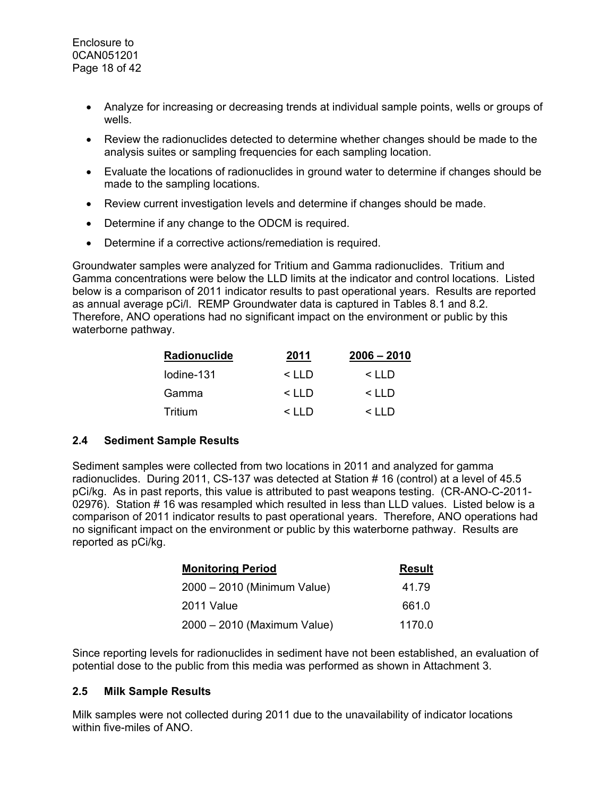- Analyze for increasing or decreasing trends at individual sample points, wells or groups of wells.
- Review the radionuclides detected to determine whether changes should be made to the analysis suites or sampling frequencies for each sampling location.
- Evaluate the locations of radionuclides in ground water to determine if changes should be made to the sampling locations.
- Review current investigation levels and determine if changes should be made.
- Determine if any change to the ODCM is required.
- Determine if a corrective actions/remediation is required.

Groundwater samples were analyzed for Tritium and Gamma radionuclides. Tritium and Gamma concentrations were below the LLD limits at the indicator and control locations. Listed below is a comparison of 2011 indicator results to past operational years. Results are reported as annual average pCi/l. REMP Groundwater data is captured in Tables 8.1 and 8.2. Therefore, ANO operations had no significant impact on the environment or public by this waterborne pathway.

| Radionuclide | 2011         | $2006 - 2010$ |
|--------------|--------------|---------------|
| lodine-131   | $\leq$ I I D | $\leq$ IID    |
| Gamma        | $\leq$ I I D | $\leq$ I I D  |
| Tritium      | $\leq$ IID   | $\leq$ IID    |

## **2.4 Sediment Sample Results**

Sediment samples were collected from two locations in 2011 and analyzed for gamma radionuclides. During 2011, CS-137 was detected at Station # 16 (control) at a level of 45.5 pCi/kg. As in past reports, this value is attributed to past weapons testing. (CR-ANO-C-2011- 02976). Station # 16 was resampled which resulted in less than LLD values. Listed below is a comparison of 2011 indicator results to past operational years. Therefore, ANO operations had no significant impact on the environment or public by this waterborne pathway. Results are reported as pCi/kg.

| <b>Monitoring Period</b>    | <b>Result</b> |
|-----------------------------|---------------|
| 2000 - 2010 (Minimum Value) | 41.79         |
| 2011 Value                  | 661.0         |
| 2000 - 2010 (Maximum Value) | 1170.0        |

Since reporting levels for radionuclides in sediment have not been established, an evaluation of potential dose to the public from this media was performed as shown in Attachment 3.

## **2.5 Milk Sample Results**

Milk samples were not collected during 2011 due to the unavailability of indicator locations within five-miles of ANO.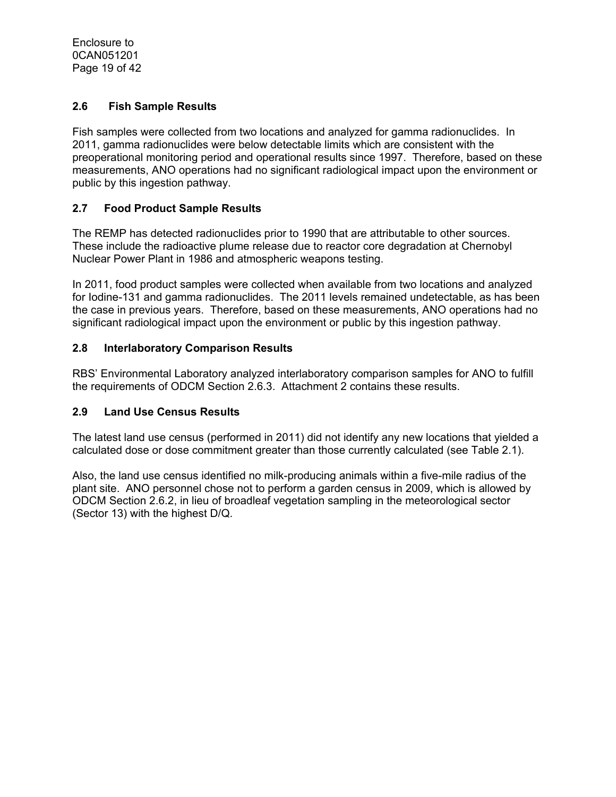Enclosure to 0CAN051201 Page 19 of 42

## **2.6 Fish Sample Results**

Fish samples were collected from two locations and analyzed for gamma radionuclides. In 2011, gamma radionuclides were below detectable limits which are consistent with the preoperational monitoring period and operational results since 1997. Therefore, based on these measurements, ANO operations had no significant radiological impact upon the environment or public by this ingestion pathway.

## **2.7 Food Product Sample Results**

The REMP has detected radionuclides prior to 1990 that are attributable to other sources. These include the radioactive plume release due to reactor core degradation at Chernobyl Nuclear Power Plant in 1986 and atmospheric weapons testing.

In 2011, food product samples were collected when available from two locations and analyzed for Iodine-131 and gamma radionuclides. The 2011 levels remained undetectable, as has been the case in previous years. Therefore, based on these measurements, ANO operations had no significant radiological impact upon the environment or public by this ingestion pathway.

## **2.8 Interlaboratory Comparison Results**

RBS' Environmental Laboratory analyzed interlaboratory comparison samples for ANO to fulfill the requirements of ODCM Section 2.6.3. Attachment 2 contains these results.

## **2.9 Land Use Census Results**

The latest land use census (performed in 2011) did not identify any new locations that yielded a calculated dose or dose commitment greater than those currently calculated (see Table 2.1).

Also, the land use census identified no milk-producing animals within a five-mile radius of the plant site. ANO personnel chose not to perform a garden census in 2009, which is allowed by ODCM Section 2.6.2, in lieu of broadleaf vegetation sampling in the meteorological sector (Sector 13) with the highest D/Q.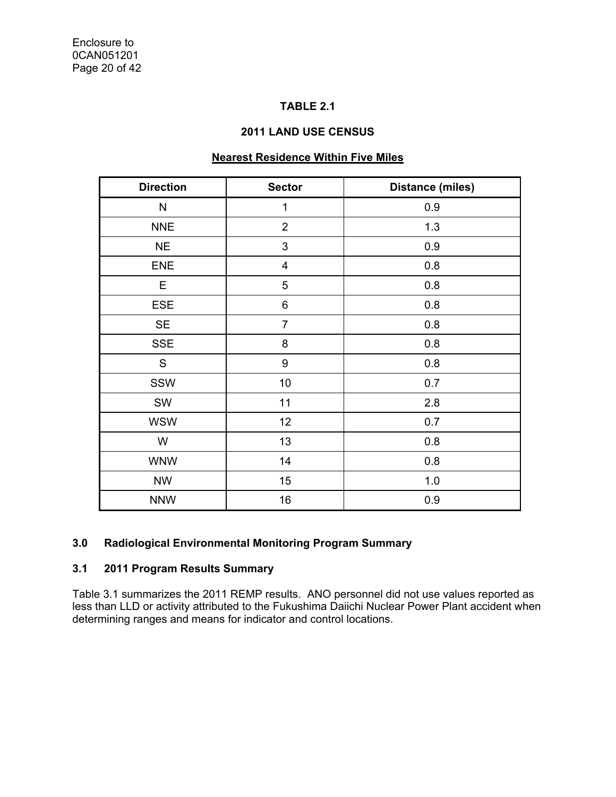## **TABLE 2.1**

#### **2011 LAND USE CENSUS**

## **Nearest Residence Within Five Miles**

| <b>Direction</b> | <b>Sector</b>           | <b>Distance (miles)</b> |
|------------------|-------------------------|-------------------------|
| N                | $\mathbf 1$             | 0.9                     |
| <b>NNE</b>       | $\overline{2}$          | 1.3                     |
| <b>NE</b>        | 3                       | 0.9                     |
| <b>ENE</b>       | $\overline{\mathbf{4}}$ | 0.8                     |
| Е                | 5                       | 0.8                     |
| ESE              | 6                       | 0.8                     |
| <b>SE</b>        | $\overline{7}$          | 0.8                     |
| <b>SSE</b>       | 8                       | 0.8                     |
| S                | $\boldsymbol{9}$        | 0.8                     |
| SSW              | 10                      | 0.7                     |
| <b>SW</b>        | 11                      | 2.8                     |
| <b>WSW</b>       | 12                      | 0.7                     |
| W                | 13                      | 0.8                     |
| <b>WNW</b>       | 14                      | 0.8                     |
| <b>NW</b>        | 15                      | 1.0                     |
| <b>NNW</b>       | 16                      | 0.9                     |

## **3.0 Radiological Environmental Monitoring Program Summary**

## **3.1 2011 Program Results Summary**

Table 3.1 summarizes the 2011 REMP results. ANO personnel did not use values reported as less than LLD or activity attributed to the Fukushima Daiichi Nuclear Power Plant accident when determining ranges and means for indicator and control locations.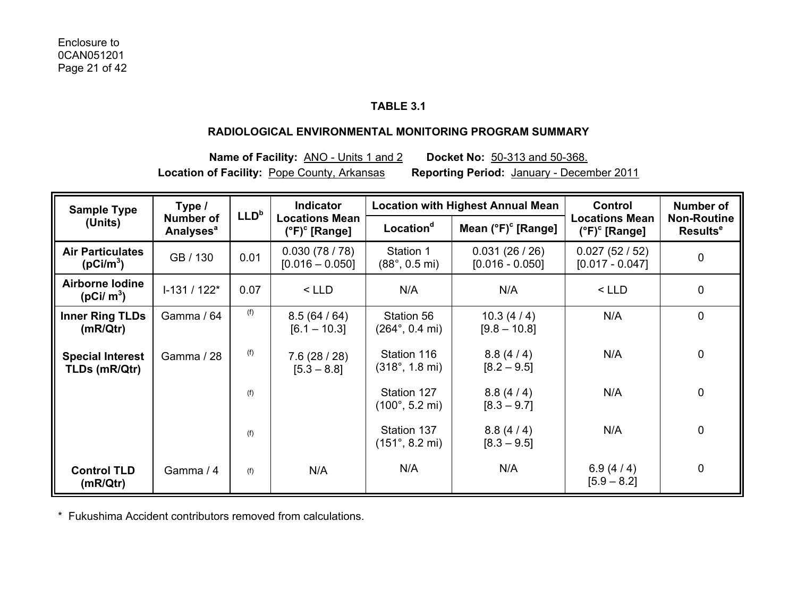## **TABLE 3.1**

#### **RADIOLOGICAL ENVIRONMENTAL MONITORING PROGRAM SUMMARY**

**Name of Facility:** ANO - Units 1 and 2 **Docket No:** 50-313 and 50-368. **Location of Facility:** Pope County, Arkansas **Reporting Period:** January - December 2011

| <b>Sample Type</b>                               | Type /                                          | LLD <sup>b</sup>                   | <b>Indicator</b>                                       |                                                | <b>Location with Highest Annual Mean</b> | <b>Control</b>                                         | Number of                                  |  |
|--------------------------------------------------|-------------------------------------------------|------------------------------------|--------------------------------------------------------|------------------------------------------------|------------------------------------------|--------------------------------------------------------|--------------------------------------------|--|
| (Units)                                          | <b>Number of</b><br><b>Analyses<sup>a</sup></b> |                                    | <b>Locations Mean</b><br>$(^{\circ}F)^{\circ}$ [Range] | Location <sup>d</sup>                          | Mean $(^{\circ}F)^{\circ}$ [Range]       | <b>Locations Mean</b><br>$(^{\circ}F)^{\circ}$ [Range] | <b>Non-Routine</b><br>Results <sup>e</sup> |  |
| <b>Air Particulates</b><br>(pCi/m <sup>3</sup> ) | GB / 130                                        | 0.01                               | 0.030(78/78)<br>$[0.016 - 0.050]$                      | Station 1<br>$(88^{\circ}, 0.5 \text{ mi})$    | 0.031(26/26)<br>$[0.016 - 0.050]$        | 0.027(52/52)<br>$[0.017 - 0.047]$                      | $\pmb{0}$                                  |  |
| <b>Airborne lodine</b><br>( $pCi/m^3$ )          | $1-131/122*$                                    | 0.07                               | $<$ LLD                                                | N/A                                            | N/A                                      | $<$ LLD                                                | 0                                          |  |
| <b>Inner Ring TLDs</b><br>(mR/Qtr)               | Gamma / 64                                      | (f)                                | 8.5(64/64)<br>$[6.1 - 10.3]$                           | Station 56<br>$(264^{\circ}, 0.4 \text{ mi})$  | 10.3(4/4)<br>$[9.8 - 10.8]$              | N/A                                                    | $\mathbf 0$                                |  |
| <b>Special Interest</b><br>TLDs (mR/Qtr)         | Gamma / 28                                      | (f)<br>7.6(28/28)<br>$[5.3 - 8.8]$ |                                                        | Station 116<br>$(318^{\circ}, 1.8 \text{ mi})$ | 8.8(4/4)<br>$[8.2 - 9.5]$                | N/A                                                    | $\pmb{0}$                                  |  |
|                                                  |                                                 | (f)                                |                                                        | Station 127<br>$(100^{\circ}, 5.2 \text{ mi})$ | 8.8(4/4)<br>$[8.3 - 9.7]$                | N/A                                                    | $\mathbf 0$                                |  |
|                                                  |                                                 | (f)                                |                                                        | Station 137<br>$(151^{\circ}, 8.2 \text{ mi})$ | 8.8(4/4)<br>$[8.3 - 9.5]$                | N/A                                                    | $\mathbf 0$                                |  |
| <b>Control TLD</b><br>(mR/Qtr)                   | Gamma / 4                                       | (f)                                | N/A                                                    | N/A                                            | N/A                                      | 6.9 $(4/4)$<br>$[5.9 - 8.2]$                           | $\mathbf 0$                                |  |

\* Fukushima Accident contributors removed from calculations.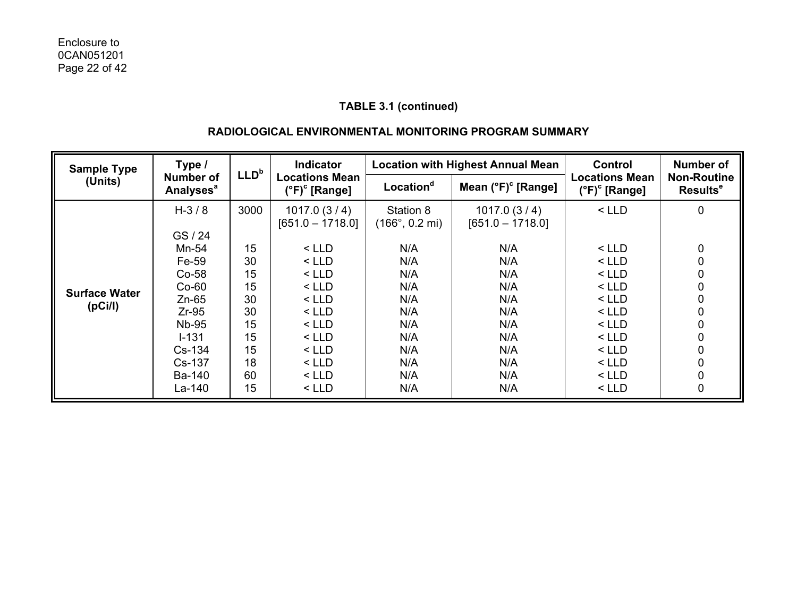## **RADIOLOGICAL ENVIRONMENTAL MONITORING PROGRAM SUMMARY**

| <b>Sample Type</b>              | Type /                                                                                                                                  | LLD <sup>b</sup>                                                 | <b>Indicator</b>                                                                                                                                |                                                                                                                    | <b>Location with Highest Annual Mean</b>                                                                | Control                                                                                                               | Number of                                        |  |
|---------------------------------|-----------------------------------------------------------------------------------------------------------------------------------------|------------------------------------------------------------------|-------------------------------------------------------------------------------------------------------------------------------------------------|--------------------------------------------------------------------------------------------------------------------|---------------------------------------------------------------------------------------------------------|-----------------------------------------------------------------------------------------------------------------------|--------------------------------------------------|--|
| (Units)                         | <b>Number of</b><br><b>Analyses<sup>a</sup></b>                                                                                         |                                                                  | <b>Locations Mean</b><br>$(^{\circ}F)^{\circ}$ [Range]                                                                                          | Location <sup>d</sup>                                                                                              | Mean $(°F)$ <sup>c</sup> [Range]                                                                        | <b>Locations Mean</b><br>$(^{\circ}F)^{\circ}$ [Range]                                                                | <b>Non-Routine</b><br><b>Results<sup>e</sup></b> |  |
| <b>Surface Water</b><br>(pCi/l) | $H - 3 / 8$<br>GS / 24<br>Mn-54<br>Fe-59<br>$Co-58$<br>$Co-60$<br>$Zn-65$<br>$Zr-95$<br><b>Nb-95</b><br>$I - 131$<br>$Cs-134$<br>Cs-137 | 3000<br>15<br>30<br>15<br>15<br>30<br>30<br>15<br>15<br>15<br>18 | 1017.0(3/4)<br>$[651.0 - 1718.0]$<br>$<$ LLD<br>$<$ LLD<br>$<$ LLD<br>$<$ LLD<br>$<$ LLD<br>$<$ LLD<br>$<$ LLD<br>$<$ LLD<br>$<$ LLD<br>$<$ LLD | Station 8<br>$(166^{\circ}, 0.2 \text{ mi})$<br>N/A<br>N/A<br>N/A<br>N/A<br>N/A<br>N/A<br>N/A<br>N/A<br>N/A<br>N/A | 1017.0(3/4)<br>$[651.0 - 1718.0]$<br>N/A<br>N/A<br>N/A<br>N/A<br>N/A<br>N/A<br>N/A<br>N/A<br>N/A<br>N/A | $<$ LLD<br>$<$ LLD<br>$<$ LLD<br>$<$ LLD<br>$<$ LLD<br>$<$ LLD<br>$<$ LLD<br>$<$ LLD<br>$<$ LLD<br>$<$ LLD<br>$<$ LLD | 0<br>0<br>0<br>0<br>0<br>0<br>0<br>0             |  |
|                                 | Ba-140<br>La-140                                                                                                                        | 60<br>15                                                         | $<$ LLD<br>$<$ LLD                                                                                                                              | N/A<br>N/A                                                                                                         | N/A<br>N/A                                                                                              | < LLD<br>$<$ LLD                                                                                                      | 0                                                |  |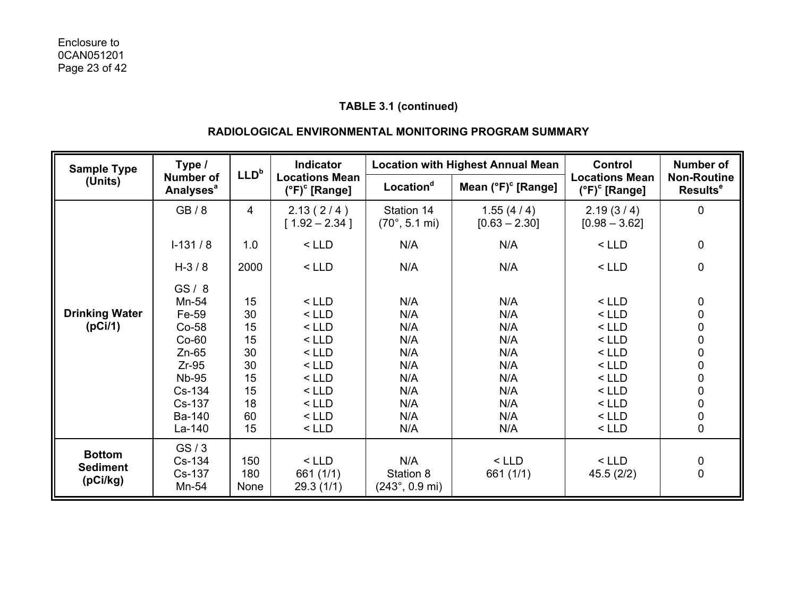## **RADIOLOGICAL ENVIRONMENTAL MONITORING PROGRAM SUMMARY**

| <b>Sample Type</b>    | Type /                                          | LLD <sup>b</sup> | <b>Indicator</b>                                       |                                              | <b>Location with Highest Annual Mean</b> | <b>Control</b>                                         | <b>Number of</b>                           |
|-----------------------|-------------------------------------------------|------------------|--------------------------------------------------------|----------------------------------------------|------------------------------------------|--------------------------------------------------------|--------------------------------------------|
| (Units)               | <b>Number of</b><br><b>Analyses<sup>a</sup></b> |                  | <b>Locations Mean</b><br>$(^{\circ}F)^{\circ}$ [Range] | Location <sup>d</sup>                        | Mean $(°F)$ <sup>c</sup> [Range]         | <b>Locations Mean</b><br>$(^{\circ}F)^{\circ}$ [Range] | <b>Non-Routine</b><br>Results <sup>e</sup> |
|                       | GB/8                                            | 4                | 2.13(2/4)<br>$[1.92 - 2.34]$                           | Station 14<br>$(70^{\circ}, 5.1 \text{ mi})$ | 1.55(4/4)<br>$[0.63 - 2.30]$             | 2.19(3/4)<br>$[0.98 - 3.62]$                           | 0                                          |
| $I-131/8$             |                                                 | 1.0              | $<$ LLD                                                | N/A                                          | N/A                                      | $<$ LLD                                                | $\pmb{0}$                                  |
|                       | $H - 3 / 8$                                     | 2000             | $<$ LLD                                                | N/A                                          | N/A                                      | $<$ LLD                                                | 0                                          |
|                       | GS/8                                            |                  |                                                        |                                              |                                          |                                                        |                                            |
|                       | Mn-54                                           | 15               | $<$ LLD                                                | N/A                                          | N/A                                      | $<$ LLD                                                | 0                                          |
| <b>Drinking Water</b> | Fe-59                                           | 30               | $<$ LLD                                                | N/A                                          | N/A                                      | $<$ LLD                                                | $\pmb{0}$                                  |
| (pCi/1)               | Co-58                                           | 15               | $<$ LLD                                                | N/A                                          | N/A                                      | $<$ LLD                                                |                                            |
|                       | $Co-60$                                         | 15               | $<$ LLD                                                | N/A                                          | N/A                                      | $<$ LLD                                                | $\begin{matrix}0\\0\end{matrix}$           |
|                       | $Zn-65$                                         | 30               | $<$ LLD                                                | N/A                                          | N/A                                      | $<$ LLD                                                |                                            |
|                       | $Zr-95$                                         | 30               | $<$ LLD                                                | N/A                                          | N/A                                      | $<$ LLD                                                |                                            |
|                       | <b>Nb-95</b>                                    | 15               | $<$ LLD                                                | N/A                                          | N/A                                      | $<$ LLD                                                |                                            |
|                       | Cs-134                                          | 15               | $<$ LLD                                                | N/A                                          | N/A                                      | $<$ LLD                                                |                                            |
|                       | Cs-137                                          | 18               | $<$ LLD                                                | N/A                                          | N/A                                      | $<$ LLD                                                | 0000000                                    |
|                       | Ba-140                                          | 60               | $<$ LLD                                                | N/A                                          | N/A                                      | $<$ LLD                                                |                                            |
|                       | La-140                                          | 15               | $<$ LLD                                                | N/A                                          | N/A                                      | $<$ LLD                                                |                                            |
| <b>Bottom</b>         | GS/3                                            |                  |                                                        |                                              |                                          |                                                        |                                            |
|                       | Cs-134                                          | 150              | $<$ LLD                                                | N/A                                          | $<$ LLD                                  | $<$ LLD                                                | 0                                          |
| <b>Sediment</b>       | Cs-137                                          | 180              | 661 (1/1)                                              | Station 8                                    | 661 (1/1)                                | 45.5 (2/2)                                             | $\mathbf 0$                                |
| (pCi/kg)              | Mn-54                                           | None             | 29.3(1/1)                                              | $(243^{\circ}, 0.9 \text{ mi})$              |                                          |                                                        |                                            |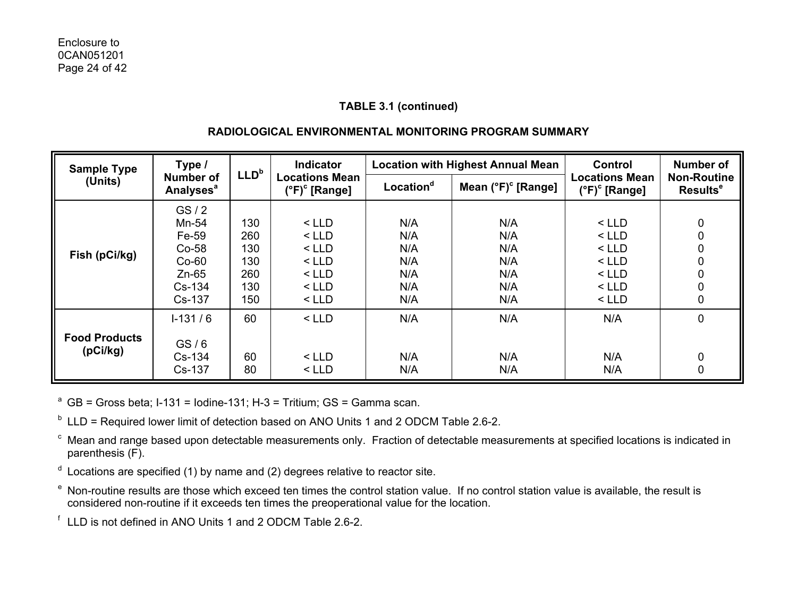## **RADIOLOGICAL ENVIRONMENTAL MONITORING PROGRAM SUMMARY**

| <b>Sample Type</b>                                         | Type /                                                                        |                                               | <b>Indicator</b>                                                          |                                               | <b>Location with Highest Annual Mean</b>      | Control                                                                   | <b>Number of</b>                           |  |
|------------------------------------------------------------|-------------------------------------------------------------------------------|-----------------------------------------------|---------------------------------------------------------------------------|-----------------------------------------------|-----------------------------------------------|---------------------------------------------------------------------------|--------------------------------------------|--|
| <b>Number of</b><br>(Units)<br><b>Analyses<sup>a</sup></b> |                                                                               | LLD <sup>b</sup>                              | <b>Locations Mean</b><br>(°F) <sup>c</sup> [Range]                        | Location <sup>d</sup>                         | Mean $(^{\circ}F)^{\circ}$ [Range]            | <b>Locations Mean</b><br>$(^{\circ}F)^{\circ}$ [Range]                    | <b>Non-Routine</b><br>Results <sup>e</sup> |  |
| Fish (pCi/kg)                                              | GS/2<br>Mn-54<br>Fe-59<br>$Co-58$<br>$Co-60$<br>$Zn-65$<br>$Cs-134$<br>Cs-137 | 130<br>260<br>130<br>130<br>260<br>130<br>150 | $<$ LLD<br>$<$ LLD<br>$<$ LLD<br>$<$ LLD<br>$<$ LLD<br>$<$ LLD<br>$<$ LLD | N/A<br>N/A<br>N/A<br>N/A<br>N/A<br>N/A<br>N/A | N/A<br>N/A<br>N/A<br>N/A<br>N/A<br>N/A<br>N/A | $<$ LLD<br>$<$ LLD<br>$<$ LLD<br>$<$ LLD<br>$<$ LLD<br>$<$ LLD<br>$<$ LLD | 0<br>0<br>0<br>0<br>0<br>0<br>0            |  |
| <b>Food Products</b><br>(pCi/kg)                           | $1-131/6$<br>GS/6<br>$Cs-134$<br>Cs-137                                       | 60<br>60<br>80                                | $<$ LLD<br>$<$ LLD<br>$<$ LLD                                             | N/A<br>N/A<br>N/A                             | N/A<br>N/A<br>N/A                             | N/A<br>N/A<br>N/A                                                         | 0<br>0<br>0                                |  |

<sup>a</sup> GB = Gross beta; I-131 = Iodine-131; H-3 = Tritium; GS = Gamma scan.

 $<sup>b</sup>$  LLD = Required lower limit of detection based on ANO Units 1 and 2 ODCM Table 2.6-2.</sup>

c Mean and range based upon detectable measurements only. Fraction of detectable measurements at specified locations is indicated in parenthesis (F).

- $d$  Locations are specified (1) by name and (2) degrees relative to reactor site.
- e Non-routine results are those which exceed ten times the control station value. If no control station value is available, the result is considered non-routine if it exceeds ten times the preoperational value for the location.

f LLD is not defined in ANO Units 1 and 2 ODCM Table 2.6-2.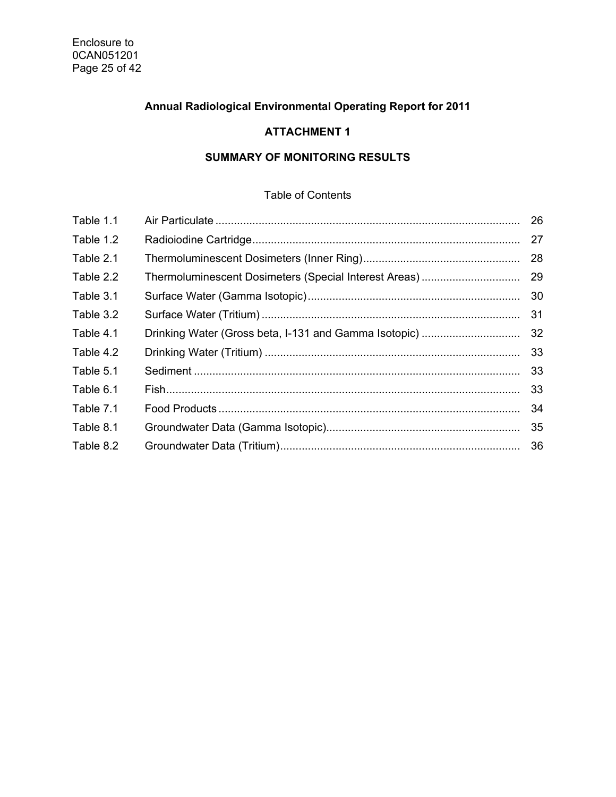# **Annual Radiological Environmental Operating Report for 2011**

# **ATTACHMENT 1**

# **SUMMARY OF MONITORING RESULTS**

## Table of Contents

| Table 1.1 |                                                       | 26 |
|-----------|-------------------------------------------------------|----|
| Table 1.2 |                                                       | 27 |
| Table 2.1 |                                                       | 28 |
| Table 2.2 |                                                       | 29 |
| Table 3.1 |                                                       | 30 |
| Table 3.2 |                                                       | 31 |
| Table 4.1 | Drinking Water (Gross beta, I-131 and Gamma Isotopic) | 32 |
| Table 4.2 |                                                       | 33 |
| Table 5.1 |                                                       | 33 |
| Table 6.1 |                                                       | 33 |
| Table 7.1 |                                                       | 34 |
| Table 8.1 |                                                       | 35 |
| Table 8.2 |                                                       | 36 |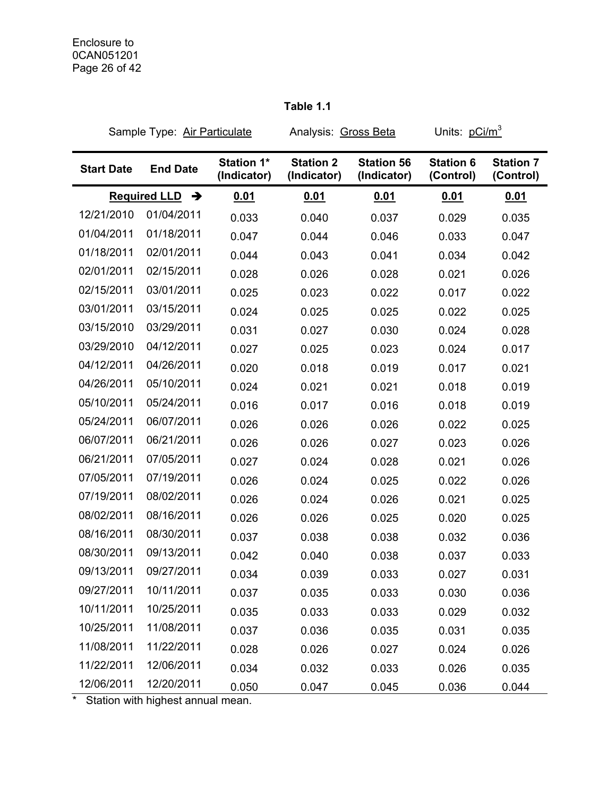# Sample Type: Air Particulate Analysis: Gross Beta Units: pCi/m<sup>3</sup> **Start Date End Date Station 1\* (Indicator) Station 2 (Indicator) Station 56 (Indicator) Station 6 (Control) Station 7 (Control) Required LLD**  $\rightarrow$  **0.01 0.01 0.01 0.01 0.01** 0.01 12/21/2010 01/04/2011 0.033 0.040 0.037 0.029 0.035 01/04/2011 01/18/2011 0.047 0.044 0.046 0.033 0.047 01/18/2011 02/01/2011 0.044 0.043 0.041 0.034 0.042 02/01/2011 02/15/2011 0.028 0.026 0.028 0.021 0.026 02/15/2011 03/01/2011 0.025 0.023 0.022 0.017 0.022 03/01/2011 03/15/2011 0.024 0.025 0.025 0.022 0.025 03/15/2010 03/29/2011 0.031 0.027 0.030 0.024 0.028 03/29/2010 04/12/2011 0.027 0.025 0.023 0.024 0.017 04/12/2011 04/26/2011 0.020 0.018 0.019 0.017 0.021 04/26/2011 05/10/2011 0.024 0.021 0.021 0.018 0.019 05/10/2011 05/24/2011 0.016 0.017 0.016 0.018 0.019 05/24/2011 06/07/2011 0.026 0.026 0.026 0.022 0.025 06/07/2011 06/21/2011 0.026 0.026 0.027 0.023 0.026 06/21/2011 07/05/2011 0.027 0.024 0.028 0.021 0.026 07/05/2011 07/19/2011 0.026 0.024 0.025 0.022 0.026 07/19/2011 08/02/2011 0.026 0.024 0.026 0.021 0.025 08/02/2011 08/16/2011 0.026 0.026 0.025 0.020 0.025 08/16/2011 08/30/2011 0.037 0.038 0.038 0.032 0.036 08/30/2011 09/13/2011 0.042 0.040 0.038 0.037 0.033 09/13/2011 09/27/2011 0.034 0.039 0.033 0.027 0.031 09/27/2011 10/11/2011 0.037 0.035 0.033 0.030 0.036 10/11/2011 10/25/2011 0.035 0.033 0.033 0.029 0.032 10/25/2011 11/08/2011 0.037 0.036 0.035 0.031 0.035

11/08/2011 11/22/2011 0.028 0.026 0.027 0.024 0.026 11/22/2011 12/06/2011 0.034 0.032 0.033 0.026 0.035 12/06/2011 12/20/2011 0.050 0.047 0.045 0.036 0.044

#### **Table 1.1**

Station with highest annual mean.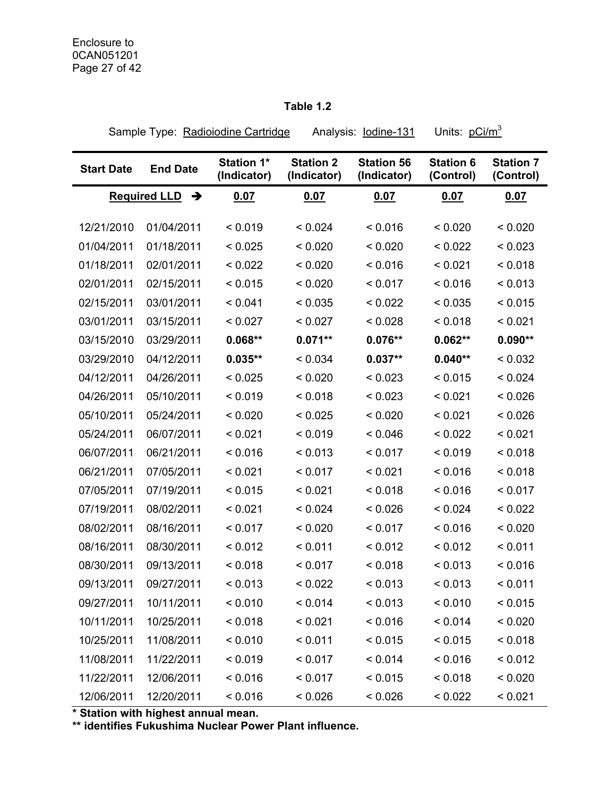#### **Table 1.2**

Sample Type: Radioiodine Cartridge Analysis: lodine-131 Units: pCi/m<sup>3</sup> **Start Date End Date Station 1\* (Indicator) Station 2 (Indicator) Station 56 (Indicator) Station 6 (Control) Station 7 (Control) Required LLD → 0.07 0.07 0.07 0.07 0.07 0.07** 12/21/2010 01/04/2011 < 0.019 < 0.024 < 0.016 < 0.020 < 0.020 01/04/2011 01/18/2011 < 0.025 < 0.020 < 0.020 < 0.022 < 0.023 01/18/2011 02/01/2011 < 0.022 < 0.020 < 0.016 < 0.021 < 0.018 02/01/2011 02/15/2011 < 0.015 < 0.020 < 0.017 < 0.016 < 0.013 02/15/2011 03/01/2011 < 0.041 < 0.035 < 0.022 < 0.035 < 0.015 03/01/2011 03/15/2011 < 0.027 < 0.027 < 0.028 < 0.018 < 0.021 03/15/2010 03/29/2011 **0.068\*\* 0.071\*\* 0.076\*\* 0.062\*\* 0.090\*\***  03/29/2010 04/12/2011 **0.035\*\*** < 0.034 **0.037\*\* 0.040\*\*** < 0.032 04/12/2011 04/26/2011 < 0.025 < 0.020 < 0.023 < 0.015 < 0.024 04/26/2011 05/10/2011 < 0.019 < 0.018 < 0.023 < 0.021 < 0.026 05/10/2011 05/24/2011 < 0.020 < 0.025 < 0.020 < 0.021 < 0.026 05/24/2011 06/07/2011 < 0.021 < 0.019 < 0.046 < 0.022 < 0.021 06/07/2011 06/21/2011 < 0.016 < 0.013 < 0.017 < 0.019 < 0.018 06/21/2011 07/05/2011 < 0.021 < 0.017 < 0.021 < 0.016 < 0.018 07/05/2011 07/19/2011 < 0.015 < 0.021 < 0.018 < 0.016 < 0.017 07/19/2011 08/02/2011 <0.021 <0.024 <0.026 <0.024 <0.022 08/02/2011 08/16/2011 < 0.017 < 0.020 < 0.017 < 0.016 < 0.020 08/16/2011 08/30/2011 < 0.012 < 0.011 < 0.012 < 0.012 < 0.011 08/30/2011 09/13/2011 < 0.018 < 0.017 < 0.018 < 0.013 < 0.016 09/13/2011 09/27/2011 < 0.013 < 0.022 < 0.013 < 0.013 < 0.011 09/27/2011 10/11/2011 < 0.010 < 0.014 < 0.013 < 0.010 < 0.015 10/11/2011 10/25/2011 < 0.018 < 0.021 < 0.016 < 0.014 < 0.020 10/25/2011 11/08/2011 < 0.010 < 0.011 < 0.015 < 0.015 < 0.018 11/08/2011 11/22/2011 < 0.019 < 0.017 < 0.014 < 0.016 < 0.012 11/22/2011 12/06/2011 < 0.016 < 0.017 < 0.015 < 0.018 < 0.020 12/06/2011 12/20/2011 < 0.016 < 0.026 < 0.026 < 0.022 < 0.021

**\* Station with highest annual mean.** 

**\*\* identifies Fukushima Nuclear Power Plant influence.**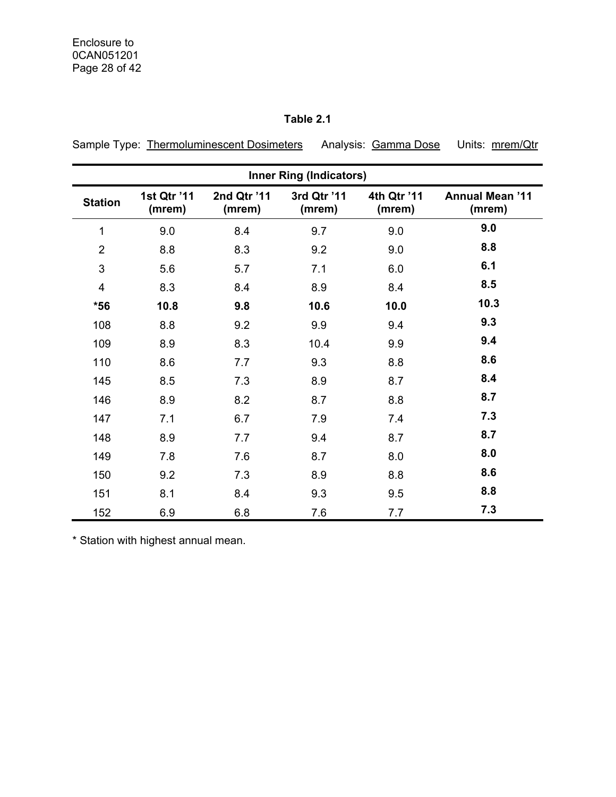# **Table 2.1**

Sample Type: Thermoluminescent Dosimeters Analysis: Gamma Dose Units: mrem/Qtr

|                         | <b>Inner Ring (Indicators)</b> |                       |                       |                       |                                  |  |  |  |  |  |
|-------------------------|--------------------------------|-----------------------|-----------------------|-----------------------|----------------------------------|--|--|--|--|--|
| <b>Station</b>          | 1st Qtr '11<br>(mrem)          | 2nd Qtr '11<br>(mrem) | 3rd Qtr '11<br>(mrem) | 4th Qtr '11<br>(mrem) | <b>Annual Mean '11</b><br>(mrem) |  |  |  |  |  |
| 1                       | 9.0                            | 8.4                   | 9.7                   | 9.0                   | 9.0                              |  |  |  |  |  |
| $\overline{2}$          | 8.8                            | 8.3                   | 9.2                   | 9.0                   | 8.8                              |  |  |  |  |  |
| 3                       | 5.6                            | 5.7                   | 7.1                   | 6.0                   | 6.1                              |  |  |  |  |  |
| $\overline{\mathbf{4}}$ | 8.3                            | 8.4                   | 8.9                   | 8.4                   | 8.5                              |  |  |  |  |  |
| $*56$                   | 10.8                           | 9.8                   | 10.6                  | 10.0                  | 10.3                             |  |  |  |  |  |
| 108                     | 8.8                            | 9.2                   | 9.9                   | 9.4                   | 9.3                              |  |  |  |  |  |
| 109                     | 8.9                            | 8.3                   | 10.4                  | 9.9                   | 9.4                              |  |  |  |  |  |
| 110                     | 8.6                            | 7.7                   | 9.3                   | 8.8                   | 8.6                              |  |  |  |  |  |
| 145                     | 8.5                            | 7.3                   | 8.9                   | 8.7                   | 8.4                              |  |  |  |  |  |
| 146                     | 8.9                            | 8.2                   | 8.7                   | 8.8                   | 8.7                              |  |  |  |  |  |
| 147                     | 7.1                            | 6.7                   | 7.9                   | 7.4                   | 7.3                              |  |  |  |  |  |
| 148                     | 8.9                            | 7.7                   | 9.4                   | 8.7                   | 8.7                              |  |  |  |  |  |
| 149                     | 7.8                            | 7.6                   | 8.7                   | 8.0                   | 8.0                              |  |  |  |  |  |
| 150                     | 9.2                            | 7.3                   | 8.9                   | 8.8                   | 8.6                              |  |  |  |  |  |
| 151                     | 8.1                            | 8.4                   | 9.3                   | 9.5                   | 8.8                              |  |  |  |  |  |
| 152                     | 6.9                            | 6.8                   | 7.6                   | 7.7                   | 7.3                              |  |  |  |  |  |

\* Station with highest annual mean.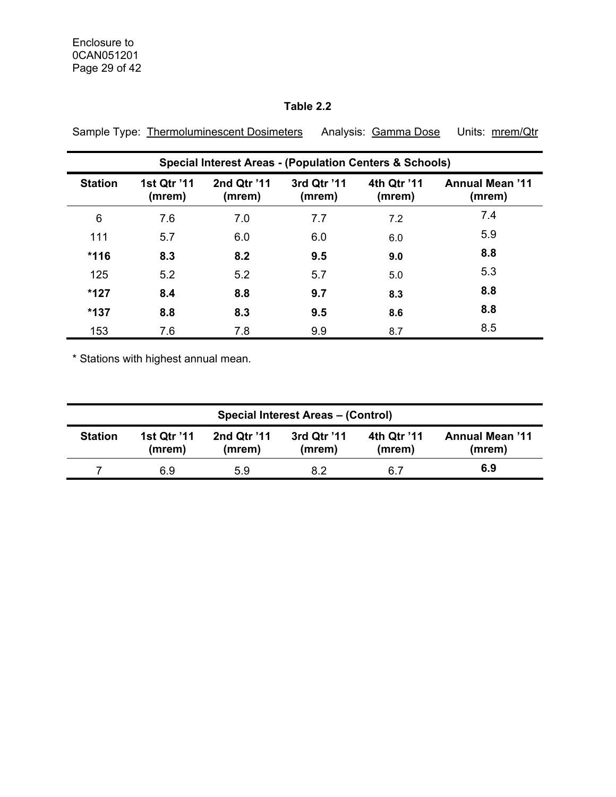## **Table 2.2**

|                | <b>Special Interest Areas - (Population Centers &amp; Schools)</b> |                       |                       |                       |                                  |  |  |  |  |  |
|----------------|--------------------------------------------------------------------|-----------------------|-----------------------|-----------------------|----------------------------------|--|--|--|--|--|
| <b>Station</b> | 1st Qtr '11<br>(mrem)                                              | 2nd Qtr '11<br>(mrem) | 3rd Qtr '11<br>(mrem) | 4th Qtr '11<br>(mrem) | <b>Annual Mean '11</b><br>(mrem) |  |  |  |  |  |
| 6              | 7.6                                                                | 7.0                   | 7.7                   | 7.2                   | 7.4                              |  |  |  |  |  |
| 111            | 5.7                                                                | 6.0                   | 6.0                   | 6.0                   | 5.9                              |  |  |  |  |  |
| $*116$         | 8.3                                                                | 8.2                   | 9.5                   | 9.0                   | 8.8                              |  |  |  |  |  |
| 125            | 5.2                                                                | 5.2                   | 5.7                   | 5.0                   | 5.3                              |  |  |  |  |  |
| $*127$         | 8.4                                                                | 8.8                   | 9.7                   | 8.3                   | 8.8                              |  |  |  |  |  |
| $*137$         | 8.8                                                                | 8.3                   | 9.5                   | 8.6                   | 8.8                              |  |  |  |  |  |
| 153            | 7.6                                                                | 7.8                   | 9.9                   | 8.7                   | 8.5                              |  |  |  |  |  |

Sample Type: Thermoluminescent Dosimeters Analysis: Gamma Dose Units: mrem/Qtr

\* Stations with highest annual mean.

| <b>Special Interest Areas - (Control)</b> |                              |                       |                       |                       |                                  |  |  |  |
|-------------------------------------------|------------------------------|-----------------------|-----------------------|-----------------------|----------------------------------|--|--|--|
| <b>Station</b>                            | <b>1st Qtr '11</b><br>(mrem) | 2nd Qtr '11<br>(mrem) | 3rd Qtr '11<br>(mrem) | 4th Qtr '11<br>(mrem) | <b>Annual Mean '11</b><br>(mrem) |  |  |  |
|                                           | 6.9                          | 5.9                   | 8.2                   | 6.7                   | 6.9                              |  |  |  |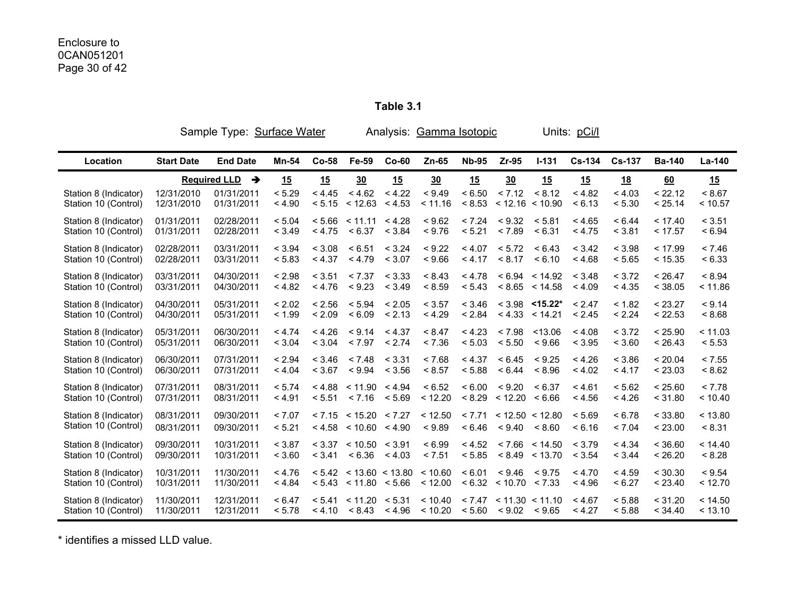**Table 3.1** 

|                                               |                          | Sample Type: Surface Water |                  |         |                                                         |         | Analysis: Gamma Isotopic |                  |                                               |                           | Units: pCi/l     |                  |                    |                    |
|-----------------------------------------------|--------------------------|----------------------------|------------------|---------|---------------------------------------------------------|---------|--------------------------|------------------|-----------------------------------------------|---------------------------|------------------|------------------|--------------------|--------------------|
| Location                                      | <b>Start Date</b>        | <b>End Date</b>            | Mn-54            | $Co-58$ | Fe-59                                                   | $Co-60$ | $Zn-65$                  | <b>Nb-95</b>     | $Zr-95$                                       | $I - 131$                 | $Cs-134$         | <b>Cs-137</b>    | <b>Ba-140</b>      | La-140             |
|                                               |                          | Required LLD $\rightarrow$ | 15               | 15      | 30                                                      | 15      | 30                       | 15               | 30                                            | 15                        | 15               | 18               | 60                 | 15                 |
| Station 8 (Indicator)                         | 12/31/2010               | 01/31/2011                 | < 5.29           | < 4.45  | < 4.62                                                  | < 4.22  | < 9.49                   | < 6.50           | < 7.12                                        | < 8.12                    | < 4.82           | < 4.03           | < 22.12            | < 8.67             |
| Station 10 (Control)                          | 12/31/2010               | 01/31/2011                 | < 4.90           | < 5.15  | < 12.63                                                 | < 4.53  | < 11.16                  | < 8.53           | < 12.16 < 10.90                               |                           | < 6.13           | < 5.30           | < 25.14            | < 10.57            |
| Station 8 (Indicator)                         | 01/31/2011               | 02/28/2011                 | < 5.04           | < 5.66  | < 11.11 < 4.28                                          | < 3.84  | < 9.62                   | < 7.24           | < 9.32                                        | < 5.81                    | < 4.65           | < 6.44           | < 17.40            | < 3.51             |
| Station 10 (Control)                          | 01/31/2011               | 02/28/2011                 | < 3.49           | < 4.75  | < 6.37                                                  |         | < 9.76                   | < 5.21           | < 7.89                                        | < 6.31                    | < 4.75           | < 3.81           | < 17.57            | < 6.94             |
| Station 8 (Indicator)                         | 02/28/2011               | 03/31/2011                 | < 3.94           | < 3.08  | < 6.51                                                  | < 3.24  | < 9.22                   | < 4.07           | < 5.72                                        | < 6.43                    | < 3.42           | < 3.98           | < 17.99            | < 7.46             |
| Station 10 (Control)                          | 02/28/2011               | 03/31/2011                 | < 5.83           | < 4.37  | < 4.79                                                  | < 3.07  | < 9.66                   | < 4.17           | < 8.17                                        | < 6.10                    | < 4.68           | < 5.65           | < 15.35            | < 6.33             |
| Station 8 (Indicator)                         | 03/31/2011               | 04/30/2011                 | < 2.98           | < 3.51  | < 7.37                                                  | < 3.33  | < 8.43                   | < 4.78           |                                               | < 6.94 < 14.92            | < 3.48           | < 3.72           | < 26.47            | < 8.94             |
| Station 10 (Control)                          | 03/31/2011               | 04/30/2011                 | < 4.82           | < 4.76  | < 9.23                                                  | < 3.49  | < 8.59                   | < 5.43           |                                               | < 8.65 < 14.58            | < 4.09           | < 4.35           | < 38.05            | < 11.86            |
| Station 8 (Indicator)                         | 04/30/2011               | 05/31/2011                 | < 2.02           | < 2.56  | < 5.94                                                  | < 2.05  | < 3.57                   | < 3.46           | < 4.33                                        | $<$ 3.98 < 15.22*         | < 2.47           | < 1.82           | < 23.27            | < 9.14             |
| Station 10 (Control)                          | 04/30/2011               | 05/31/2011                 | < 1.99           | < 2.09  | < 6.09                                                  | < 2.13  | < 4.29                   | < 2.84           |                                               | < 14.21                   | < 2.45           | < 2.24           | < 22.53            | < 8.68             |
| Station 8 (Indicator)                         | 05/31/2011               | 06/30/2011                 | < 4.74           | < 4.26  | < 9.14                                                  | < 4.37  | < 8.47                   | < 4.23           | < 7.98                                        | < 13.06                   | < 4.08           | < 3.72           | < 25.90            | < 11.03            |
| Station 10 (Control)                          | 05/31/2011               | 06/30/2011                 | < 3.04           | < 3.04  | < 7.97                                                  | < 2.74  | < 7.36                   | < 5.03           | < 5.50                                        | < 9.66                    | < 3.95           | < 3.60           | < 26.43            | < 5.53             |
| Station 8 (Indicator)                         | 06/30/2011               | 07/31/2011                 | < 2.94           | < 3.46  | < 7.48                                                  | < 3.31  | < 7.68                   | < 4.37           | < 6.45                                        | < 9.25                    | < 4.26           | < 3.86           | < 20.04            | < 7.55             |
| Station 10 (Control)                          | 06/30/2011               | 07/31/2011                 | < 4.04           | < 3.67  | < 9.94                                                  | < 3.56  | < 8.57                   | < 5.88           | < 6.44                                        | < 8.96                    | < 4.02           | < 4.17           | < 23.03            | < 8.62             |
| Station 8 (Indicator)                         | 07/31/2011               | 08/31/2011                 | < 5.74           | < 4.88  | < 11.90                                                 | < 4.94  | < 6.52                   | < 6.00           | < 9.20                                        | < 6.37                    | < 4.61           | < 5.62           | < 25.60            | < 7.78             |
| Station 10 (Control)                          | 07/31/2011               | 08/31/2011                 | < 4.91           | < 5.51  | < 7.16                                                  | < 5.69  | < 12.20                  | < 8.29           | < 12.20                                       | < 6.66                    | < 4.56           | < 4.26           | < 31.80            | < 10.40            |
| Station 8 (Indicator)<br>Station 10 (Control) | 08/31/2011<br>08/31/2011 | 09/30/2011<br>09/30/2011   | < 7.07<br>< 5.21 |         | $< 7.15$ $< 15.20$ $< 7.27$<br>$< 4.58$ < 10.60 < 4.90  |         | < 12.50<br>< 9.89        | < 7.71<br>< 6.46 | < 12.50 < 12.80<br>< 9.40                     | < 8.60                    | < 5.69<br>< 6.16 | < 6.78<br>< 7.04 | < 33.80<br>< 23.00 | < 13.80<br>< 8.31  |
| Station 8 (Indicator)<br>Station 10 (Control) | 09/30/2011<br>09/30/2011 | 10/31/2011<br>10/31/2011   | < 3.87<br>< 3.60 | < 3.41  | $< 3.37$ $< 10.50$ $< 3.91$<br>< 6.36                   | < 4.03  | < 6.99<br>< 7.51         | < 4.52<br>< 5.85 | < 7.66                                        | < 14.50<br>< 8.49 < 13.70 | < 3.79<br>< 3.54 | < 4.34<br>< 3.44 | < 36.60<br>< 26.20 | < 14.40<br>< 8.28  |
| Station 8 (Indicator)<br>Station 10 (Control) | 10/31/2011<br>10/31/2011 | 11/30/2011<br>11/30/2011   | < 4.76<br>< 4.84 |         | $< 5.42$ $< 13.60$ $< 13.80$<br>$< 5.43$ < 11.80 < 5.66 |         | < 10.60<br>< 12.00       | < 6.01           | < 9.46<br>< 6.32 < 10.70 < 7.33               | < 9.75                    | < 4.70<br>< 4.96 | < 4.59<br>< 6.27 | < 30.30<br>< 23.40 | < 9.54<br>< 12.70  |
| Station 8 (Indicator)<br>Station 10 (Control) | 11/30/2011<br>11/30/2011 | 12/31/2011<br>12/31/2011   | < 6.47<br>< 5.78 | < 4.10  | $< 5.41$ < 11.20 < 5.31<br>< 8.43                       | < 4.96  | < 10.40<br>< 10.20       | < 5.60           | $< 7.47$ $< 11.30$ $< 11.10$<br>< 9.02 < 9.65 |                           | < 4.67<br>< 4.27 | < 5.88<br>< 5.88 | < 31.20<br>< 34.40 | < 14.50<br>< 13.10 |

\* identifies a missed LLD value.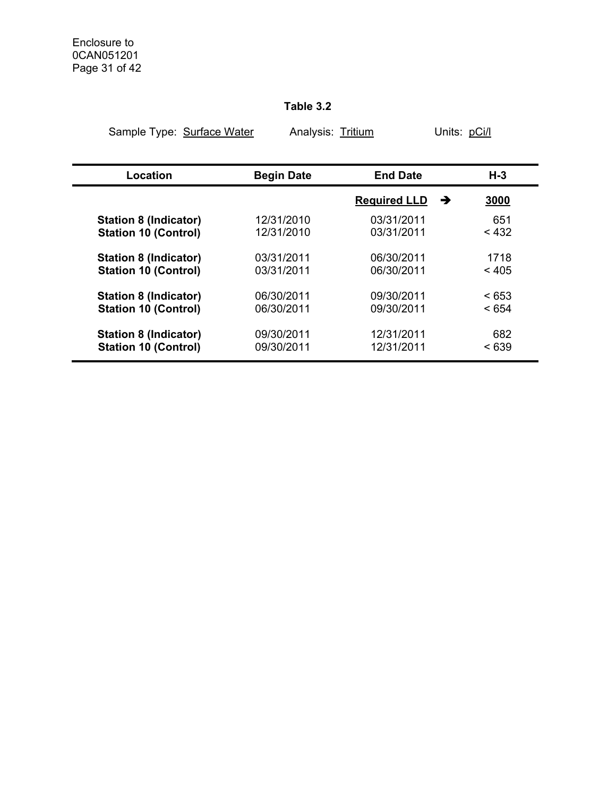## **Table 3.2**

|  | Sample Type: Surface Water |  |
|--|----------------------------|--|
|  |                            |  |

Analysis: Tritium Units: pCi/l

| Location                     | <b>Begin Date</b> | <b>End Date</b>          | $H-3$ |
|------------------------------|-------------------|--------------------------|-------|
|                              |                   | <b>Required LLD</b><br>→ | 3000  |
| <b>Station 8 (Indicator)</b> | 12/31/2010        | 03/31/2011               | 651   |
| <b>Station 10 (Control)</b>  | 12/31/2010        | 03/31/2011               | < 432 |
| <b>Station 8 (Indicator)</b> | 03/31/2011        | 06/30/2011               | 1718  |
| <b>Station 10 (Control)</b>  | 03/31/2011        | 06/30/2011               | < 405 |
| <b>Station 8 (Indicator)</b> | 06/30/2011        | 09/30/2011               | < 653 |
| <b>Station 10 (Control)</b>  | 06/30/2011        | 09/30/2011               | < 654 |
| <b>Station 8 (Indicator)</b> | 09/30/2011        | 12/31/2011               | 682   |
| <b>Station 10 (Control)</b>  | 09/30/2011        | 12/31/2011               | < 639 |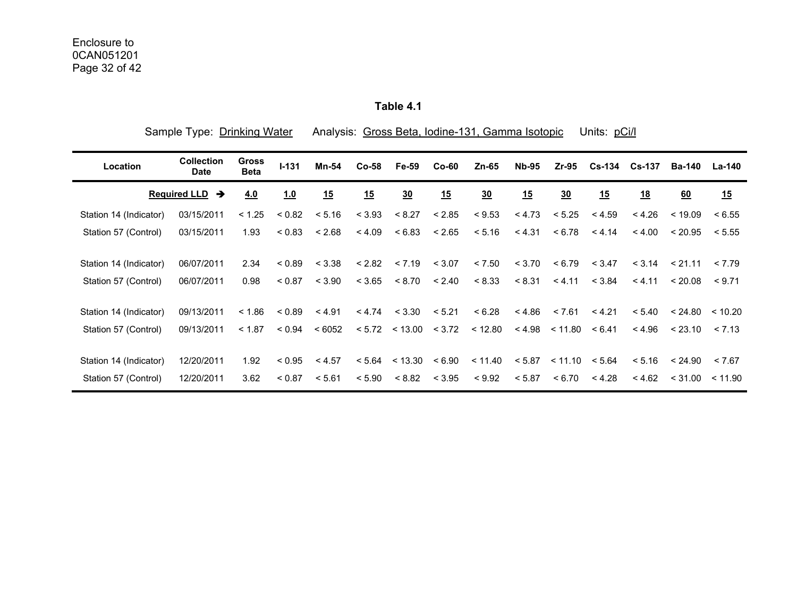**Table 4.1** 

| Sample Type: Drinking Water |                                  |                             |             |        |        |                  |         | Analysis: Gross Beta, Iodine-131, Gamma Isotopic |              |                    | Units: pCi/l |               |         |         |
|-----------------------------|----------------------------------|-----------------------------|-------------|--------|--------|------------------|---------|--------------------------------------------------|--------------|--------------------|--------------|---------------|---------|---------|
| Location                    | <b>Collection</b><br><b>Date</b> | <b>Gross</b><br><b>Beta</b> | $I - 131$   | Mn-54  | Co-58  | <b>Fe-59</b>     | $Co-60$ | $Zn-65$                                          | <b>Nb-95</b> | $Zr-95$            |              | Cs-134 Cs-137 | Ba-140  | La-140  |
|                             | <b>Required LLD</b><br>→         | 4.0                         | 1.0         | 15     | 15     | $\underline{30}$ | 15      | 30                                               | 15           | 30                 | 15           | 18            | 60      | 15      |
| Station 14 (Indicator)      | 03/15/2011                       | < 1.25                      | < 0.82      | < 5.16 | < 3.93 | < 8.27           | < 2.85  | < 9.53                                           | < 4.73       | < 5.25             | < 4.59       | < 4.26        | < 19.09 | < 6.55  |
| Station 57 (Control)        | 03/15/2011                       | 1.93                        | < 0.83      | < 2.68 | < 4.09 | < 6.83           | < 2.65  | < 5.16                                           | < 4.31       | < 6.78             | < 4.14       | < 4.00        | < 20.95 | < 5.55  |
| Station 14 (Indicator)      | 06/07/2011                       | 2.34                        | < 0.89      | < 3.38 | < 2.82 | < 7.19           | < 3.07  | < 7.50                                           | < 3.70       | < 6.79             | < 3.47       | < 3.14        | < 21.11 | < 7.79  |
| Station 57 (Control)        | 06/07/2011                       | 0.98                        | < 0.87      | < 3.90 | < 3.65 | < 8.70           | < 2.40  | < 8.33                                           | < 8.31       | < 4.11             | < 3.84       | < 4.11        | < 20.08 | < 9.71  |
| Station 14 (Indicator)      | 09/13/2011                       | < 1.86                      | ${}_{0.89}$ | < 4.91 | < 4.74 | < 3.30           | < 5.21  | < 6.28                                           | < 4.86       | < 7.61             | < 4.21       | < 5.40        | < 24.80 | < 10.20 |
| Station 57 (Control)        | 09/13/2011                       | < 1.87                      | < 0.94      | < 6052 |        | $< 5.72$ < 13.00 | < 3.72  | < 12.80                                          | < 4.98       | < 11.80            | < 6.41       | < 4.96        | < 23.10 | < 7.13  |
| Station 14 (Indicator)      | 12/20/2011                       | 1.92                        | < 0.95      | < 4.57 |        | < 5.64 < 13.30   | < 6.90  | < 11.40                                          | < 5.87       | $< 11.10$ $< 5.64$ |              | < 5.16        | < 24.90 | < 7.67  |
| Station 57 (Control)        | 12/20/2011                       | 3.62                        | < 0.87      | < 5.61 | < 5.90 | < 8.82           | < 3.95  | < 9.92                                           | < 5.87       | < 6.70             | < 4.28       | < 4.62        | < 31.00 | < 11.90 |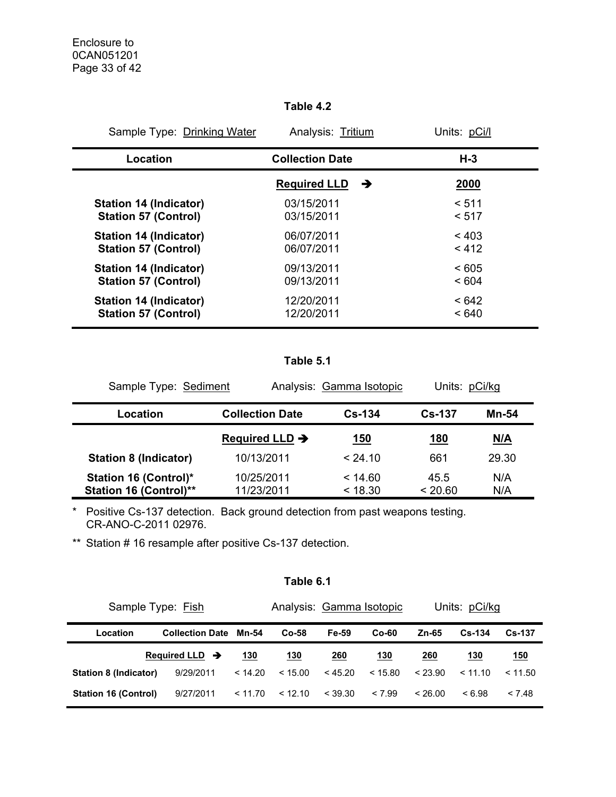## **Table 4.2**

| Sample Type: Drinking Water   | Analysis: Tritium        | Units: pCi/l |
|-------------------------------|--------------------------|--------------|
| Location                      | <b>Collection Date</b>   | $H-3$        |
|                               | <b>Required LLD</b><br>→ | <b>2000</b>  |
| Station 14 (Indicator)        | 03/15/2011               | < 511        |
| <b>Station 57 (Control)</b>   | 03/15/2011               | < 517        |
| <b>Station 14 (Indicator)</b> | 06/07/2011               | < 403        |
| <b>Station 57 (Control)</b>   | 06/07/2011               | < 412        |
| Station 14 (Indicator)        | 09/13/2011               | < 605        |
| <b>Station 57 (Control)</b>   | 09/13/2011               | < 604        |
| Station 14 (Indicator)        | 12/20/2011               | <642         |
| <b>Station 57 (Control)</b>   | 12/20/2011               | < 640        |

## **Table 5.1**

| Sample Type: Sediment                                         |                            | Analysis: Gamma Isotopic | Units: pCi/kg   |            |
|---------------------------------------------------------------|----------------------------|--------------------------|-----------------|------------|
| Location                                                      | <b>Collection Date</b>     | $Cs - 134$               | $Cs - 137$      | Mn-54      |
|                                                               | Required LLD $\rightarrow$ | <u> 150</u>              | <u>180</u>      | N/A        |
| <b>Station 8 (Indicator)</b>                                  | 10/13/2011                 | < 24.10                  | 661             | 29.30      |
| <b>Station 16 (Control)*</b><br><b>Station 16 (Control)**</b> | 10/25/2011<br>11/23/2011   | < 14.60<br>< 18.30       | 45.5<br>< 20.60 | N/A<br>N/A |

\* Positive Cs-137 detection. Back ground detection from past weapons testing. CR-ANO-C-2011 02976.

\*\* Station # 16 resample after positive Cs-137 detection.

## **Table 6.1**

| Sample Type: Fish           |                            |         | Analysis: Gamma Isotopic |         |            | Units: pCi/kg |               |               |
|-----------------------------|----------------------------|---------|--------------------------|---------|------------|---------------|---------------|---------------|
| Location                    | <b>Collection Date</b>     | Mn-54   | Co-58                    | Fe-59   | Co-60      | Zn-65         | <b>Cs-134</b> | <b>Cs-137</b> |
|                             | Required LLD $\rightarrow$ | 130     | <u>130</u>               | 260     | <u>130</u> | <u> 260</u>   | <u> 130</u>   | <u>150</u>    |
| Station 8 (Indicator)       | 9/29/2011                  | < 14.20 | < 15.00                  | < 45.20 | < 15.80    | < 23.90       | < 11.10       | < 11.50       |
| <b>Station 16 (Control)</b> | 9/27/2011                  | < 11.70 | < 12.10                  | < 39.30 | < 7.99     | < 26.00       | < 6.98        | < 7.48        |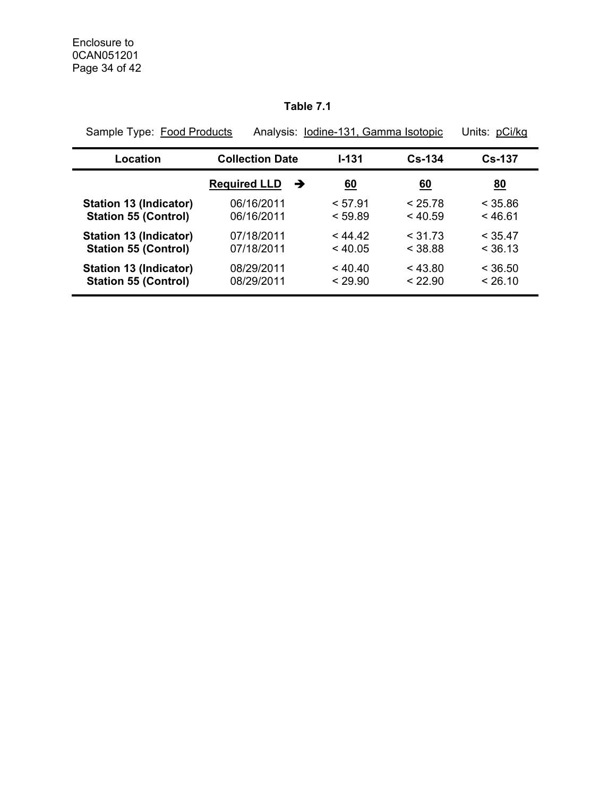# **Table 7.1**

| Sample Type: Food Products    | Analysis: Iodine-131, Gamma Isotopic |              |           | Units: pCi/kg |  |
|-------------------------------|--------------------------------------|--------------|-----------|---------------|--|
| Location                      | <b>Collection Date</b>               | <b>I-131</b> | $Cs-134$  | $Cs-137$      |  |
|                               | <b>Required LLD</b><br>→             | <u>60</u>    | <u>60</u> | <u>80</u>     |  |
| <b>Station 13 (Indicator)</b> | 06/16/2011                           | < 57.91      | < 25.78   | < 35.86       |  |
| <b>Station 55 (Control)</b>   | 06/16/2011                           | < 59.89      | < 40.59   | < 46.61       |  |
| Station 13 (Indicator)        | 07/18/2011                           | < 44.42      | $<$ 31.73 | < 35.47       |  |
| <b>Station 55 (Control)</b>   | 07/18/2011                           | $<$ 40.05    | < 38.88   | < 36.13       |  |
| <b>Station 13 (Indicator)</b> | 08/29/2011                           | < 40.40      | < 43.80   | < 36.50       |  |
| <b>Station 55 (Control)</b>   | 08/29/2011                           | < 29.90      | < 22.90   | < 26.10       |  |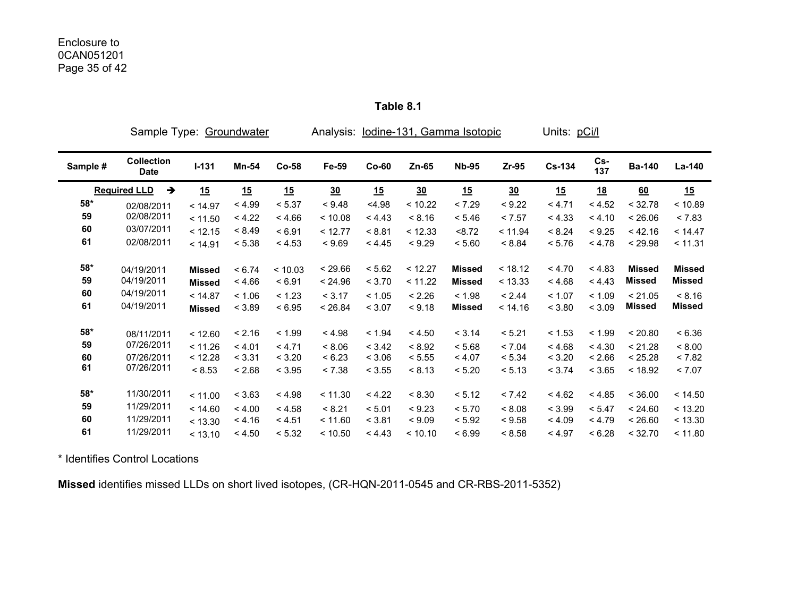|              | Sample Type:                     |               | Groundwater |         | Analysis: lodine-131, Gamma Isotopic |         |         |               |         | Units: pCi/l  |            |               |               |
|--------------|----------------------------------|---------------|-------------|---------|--------------------------------------|---------|---------|---------------|---------|---------------|------------|---------------|---------------|
| Sample #     | <b>Collection</b><br><b>Date</b> | $I-131$       | Mn-54       | $Co-58$ | Fe-59                                | $Co-60$ | $Zn-65$ | <b>Nb-95</b>  | Zr-95   | <b>Cs-134</b> | Cs-<br>137 | <b>Ba-140</b> | La-140        |
|              | <b>Required LLD</b><br>→         | 15            | 15          | 15      | 30                                   | 15      | 30      | 15            | 30      | 15            | <u>18</u>  | 60            | 15            |
| $58^{\star}$ | 02/08/2011                       | < 14.97       | < 4.99      | < 5.37  | < 9.48                               | < 4.98  | < 10.22 | < 7.29        | < 9.22  | < 4.71        | < 4.52     | < 32.78       | < 10.89       |
| 59           | 02/08/2011                       | < 11.50       | < 4.22      | < 4.66  | < 10.08                              | < 4.43  | < 8.16  | < 5.46        | < 7.57  | < 4.33        | < 4.10     | < 26.06       | < 7.83        |
| 60           | 03/07/2011                       | < 12.15       | < 8.49      | < 6.91  | < 12.77                              | < 8.81  | < 12.33 | < 8.72        | < 11.94 | < 8.24        | < 9.25     | < 42.16       | < 14.47       |
| 61           | 02/08/2011                       | < 14.91       | < 5.38      | < 4.53  | < 9.69                               | < 4.45  | < 9.29  | < 5.60        | < 8.84  | < 5.76        | < 4.78     | < 29.98       | < 11.31       |
| $58*$        | 04/19/2011                       | <b>Missed</b> | < 6.74      | < 10.03 | < 29.66                              | < 5.62  | < 12.27 | <b>Missed</b> | < 18.12 | < 4.70        | < 4.83     | <b>Missed</b> | <b>Missed</b> |
| 59           | 04/19/2011                       | <b>Missed</b> | < 4.66      | < 6.91  | < 24.96                              | < 3.70  | < 11.22 | <b>Missed</b> | < 13.33 | < 4.68        | < 4.43     | <b>Missed</b> | <b>Missed</b> |
| 60           | 04/19/2011                       | < 14.87       | < 1.06      | < 1.23  | < 3.17                               | < 1.05  | < 2.26  | < 1.98        | < 2.44  | < 1.07        | < 1.09     | < 21.05       | < 8.16        |
| 61           | 04/19/2011                       | <b>Missed</b> | < 3.89      | < 6.95  | < 26.84                              | < 3.07  | < 9.18  | <b>Missed</b> | < 14.16 | < 3.80        | < 3.09     | Missed        | <b>Missed</b> |
| $58*$        | 08/11/2011                       | < 12.60       | < 2.16      | < 1.99  | < 4.98                               | < 1.94  | < 4.50  | < 3.14        | < 5.21  | < 1.53        | < 1.99     | < 20.80       | < 6.36        |
| 59           | 07/26/2011                       | < 11.26       | < 4.01      | < 4.71  | < 8.06                               | < 3.42  | < 8.92  | < 5.68        | < 7.04  | < 4.68        | < 4.30     | < 21.28       | < 8.00        |
| 60           | 07/26/2011                       | < 12.28       | < 3.31      | < 3.20  | < 6.23                               | < 3.06  | < 5.55  | < 4.07        | < 5.34  | < 3.20        | < 2.66     | < 25.28       | < 7.82        |
| 61           | 07/26/2011                       | < 8.53        | < 2.68      | < 3.95  | < 7.38                               | < 3.55  | < 8.13  | < 5.20        | < 5.13  | < 3.74        | < 3.65     | < 18.92       | < 7.07        |
| 58*          | 11/30/2011                       | < 11.00       | < 3.63      | < 4.98  | < 11.30                              | < 4.22  | < 8.30  | < 5.12        | < 7.42  | < 4.62        | < 4.85     | < 36.00       | < 14.50       |
| 59           | 11/29/2011                       | < 14.60       | < 4.00      | < 4.58  | < 8.21                               | < 5.01  | < 9.23  | < 5.70        | < 8.08  | < 3.99        | < 5.47     | < 24.60       | < 13.20       |
| 60           | 11/29/2011                       | < 13.30       | < 4.16      | < 4.51  | < 11.60                              | < 3.81  | < 9.09  | < 5.92        | < 9.58  | < 4.09        | < 4.79     | < 26.60       | < 13.30       |
| 61           | 11/29/2011                       | < 13.10       | < 4.50      | < 5.32  | < 10.50                              | < 4.43  | < 10.10 | < 6.99        | < 8.58  | < 4.97        | < 6.28     | < 32.70       | < 11.80       |

**Table 8.1** 

\* Identifies Control Locations

**Missed** identifies missed LLDs on short lived isotopes, (CR-HQN-2011-0545 and CR-RBS-2011-5352)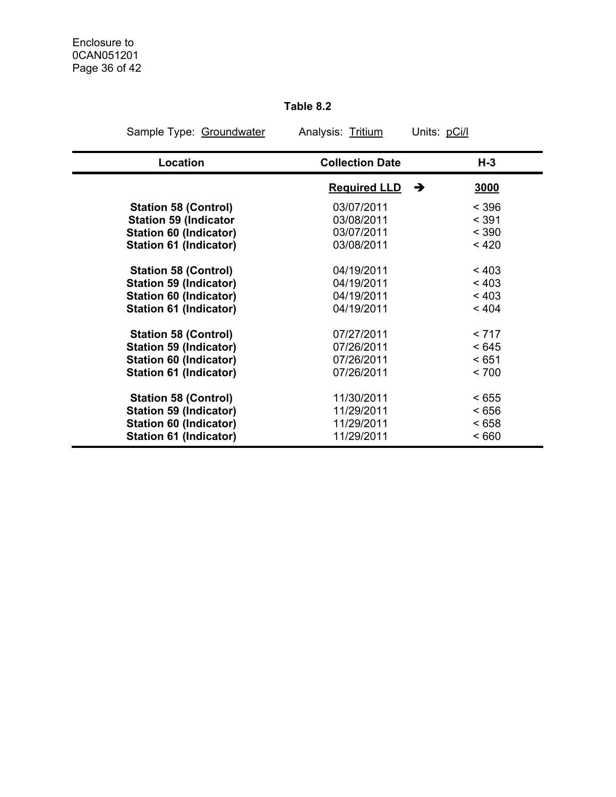# **Table 8.2**

| Sample Type: Groundwater      | Analysis: Tritium        | Units: pCi/l |
|-------------------------------|--------------------------|--------------|
| Location                      | <b>Collection Date</b>   | $H-3$        |
|                               | <b>Required LLD</b><br>→ | 3000         |
| <b>Station 58 (Control)</b>   | 03/07/2011               | < 396        |
| <b>Station 59 (Indicator</b>  | 03/08/2011               | < 391        |
| <b>Station 60 (Indicator)</b> | 03/07/2011               | < 390        |
| <b>Station 61 (Indicator)</b> | 03/08/2011               | < 420        |
| <b>Station 58 (Control)</b>   | 04/19/2011               | < 403        |
| <b>Station 59 (Indicator)</b> | 04/19/2011               | < 403        |
| <b>Station 60 (Indicator)</b> | 04/19/2011               | < 403        |
| <b>Station 61 (Indicator)</b> | 04/19/2011               | < 404        |
| <b>Station 58 (Control)</b>   | 07/27/2011               | < 717        |
| <b>Station 59 (Indicator)</b> | 07/26/2011               | < 645        |
| <b>Station 60 (Indicator)</b> | 07/26/2011               | < 651        |
| <b>Station 61 (Indicator)</b> | 07/26/2011               | < 700        |
| <b>Station 58 (Control)</b>   | 11/30/2011               | < 655        |
| <b>Station 59 (Indicator)</b> | 11/29/2011               | < 656        |
| <b>Station 60 (Indicator)</b> | 11/29/2011               | < 658        |
| <b>Station 61 (Indicator)</b> | 11/29/2011               | < 660        |
|                               |                          |              |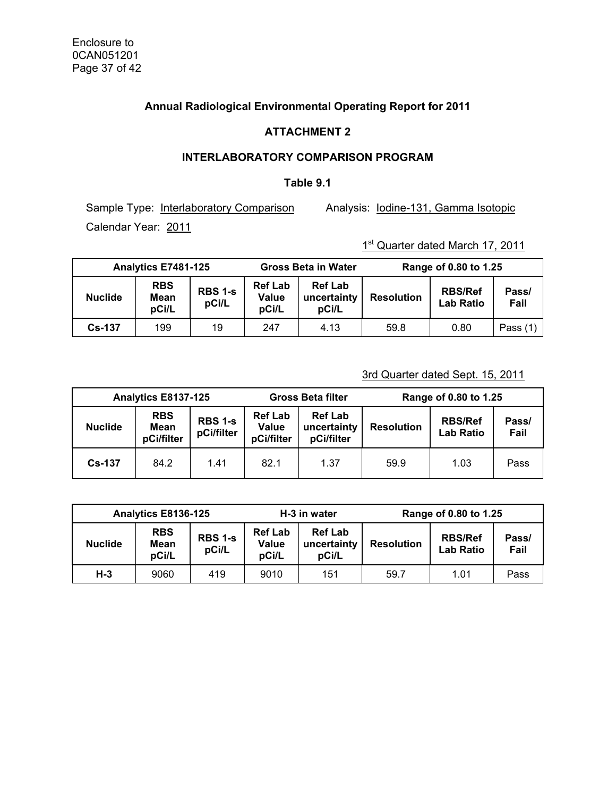## **Annual Radiological Environmental Operating Report for 2011**

## **ATTACHMENT 2**

## **INTERLABORATORY COMPARISON PROGRAM**

#### **Table 9.1**

Sample Type: Interlaboratory Comparison Analysis: Iodine-131, Gamma Isotopic Calendar Year: 2011

# 1st Quarter dated March 17, 2011

| Analytics E7481-125 |                             |                         |                                  | <b>Gross Beta in Water</b>             | Range of 0.80 to 1.25 |                                    |               |  |
|---------------------|-----------------------------|-------------------------|----------------------------------|----------------------------------------|-----------------------|------------------------------------|---------------|--|
| <b>Nuclide</b>      | <b>RBS</b><br>Mean<br>pCi/L | <b>RBS 1-s</b><br>pCi/L | <b>Ref Lab</b><br>Value<br>pCi/L | <b>Ref Lab</b><br>uncertainty<br>pCi/L | <b>Resolution</b>     | <b>RBS/Ref</b><br><b>Lab Ratio</b> | Pass/<br>Fail |  |
| <b>Cs-137</b>       | 199                         | 19                      | 247                              | 4.13                                   | 59.8                  | 0.80                               | Pass $(1)$    |  |

## 3rd Quarter dated Sept. 15, 2011

|                | Analytics E8137-125              |                              |                                              | <b>Gross Beta filter</b>                    | Range of 0.80 to 1.25 |                             |               |  |
|----------------|----------------------------------|------------------------------|----------------------------------------------|---------------------------------------------|-----------------------|-----------------------------|---------------|--|
| <b>Nuclide</b> | <b>RBS</b><br>Mean<br>pCi/filter | <b>RBS 1-s</b><br>pCi/filter | <b>Ref Lab</b><br><b>Value</b><br>pCi/filter | <b>Ref Lab</b><br>uncertainty<br>pCi/filter | <b>Resolution</b>     | <b>RBS/Ref</b><br>Lab Ratio | Pass/<br>Fail |  |
| <b>Cs-137</b>  | 84.2                             | 1.41                         | 82.1                                         | 1.37                                        | 59.9                  | 1.03                        | Pass          |  |

| Analytics E8136-125 |                             |                         |                                         | H-3 in water                           | Range of 0.80 to 1.25 |                                    |               |  |
|---------------------|-----------------------------|-------------------------|-----------------------------------------|----------------------------------------|-----------------------|------------------------------------|---------------|--|
| <b>Nuclide</b>      | <b>RBS</b><br>Mean<br>pCi/L | <b>RBS 1-s</b><br>pCi/L | <b>Ref Lab</b><br><b>Value</b><br>pCi/L | <b>Ref Lab</b><br>uncertainty<br>pCi/L | <b>Resolution</b>     | <b>RBS/Ref</b><br><b>Lab Ratio</b> | Pass/<br>Fail |  |
| $H-3$               | 9060                        | 419                     | 9010                                    | 151                                    | 59.7                  | 1.01                               | Pass          |  |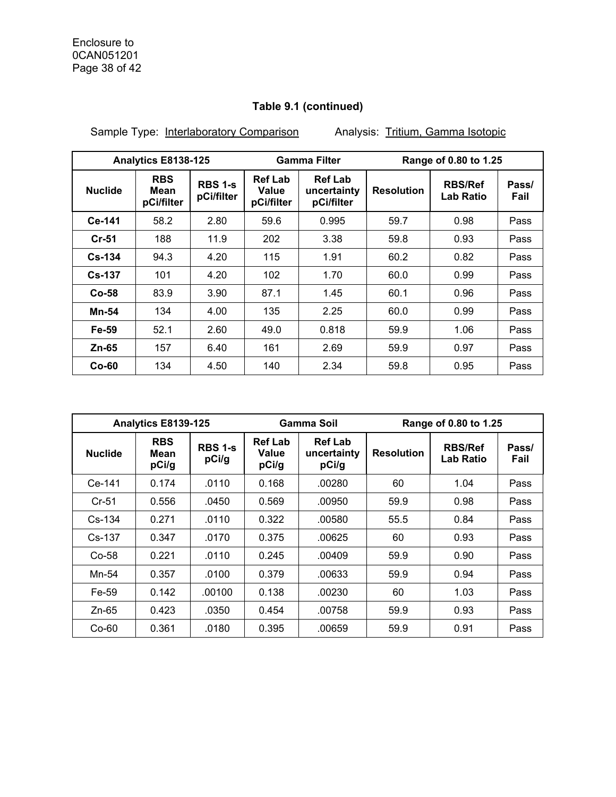Sample Type: Interlaboratory Comparison Analysis: Tritium, Gamma Isotopic

|                | Analytics E8138-125              |                       |                                       | <b>Gamma Filter</b>                         |                   | Range of 0.80 to 1.25       |               |  |
|----------------|----------------------------------|-----------------------|---------------------------------------|---------------------------------------------|-------------------|-----------------------------|---------------|--|
| <b>Nuclide</b> | <b>RBS</b><br>Mean<br>pCi/filter | RBS 1-s<br>pCi/filter | <b>Ref Lab</b><br>Value<br>pCi/filter | <b>Ref Lab</b><br>uncertainty<br>pCi/filter | <b>Resolution</b> | <b>RBS/Ref</b><br>Lab Ratio | Pass/<br>Fail |  |
| Ce-141         | 58.2                             | 2.80                  | 59.6                                  | 0.995                                       | 59.7              | 0.98                        | Pass          |  |
| $Cr-51$        | 188                              | 11.9                  | 202                                   | 3.38                                        | 59.8              | 0.93                        | Pass          |  |
| $Cs - 134$     | 94.3                             | 4.20                  | 115                                   | 1.91                                        | 60.2              | 0.82                        | Pass          |  |
| $Cs-137$       | 101                              | 4.20                  | 102                                   | 1.70                                        | 60.0              | 0.99                        | Pass          |  |
| $Co-58$        | 83.9                             | 3.90                  | 87.1                                  | 1.45                                        | 60.1              | 0.96                        | Pass          |  |
| <b>Mn-54</b>   | 134                              | 4.00                  | 135                                   | 2.25                                        | 60.0              | 0.99                        | Pass          |  |
| Fe-59          | 52.1                             | 2.60                  | 49.0                                  | 0.818                                       | 59.9              | 1.06                        | Pass          |  |
| Zn-65          | 157                              | 6.40                  | 161                                   | 2.69                                        | 59.9              | 0.97                        | Pass          |  |
| $Co-60$        | 134                              | 4.50                  | 140                                   | 2.34                                        | 59.8              | 0.95                        | Pass          |  |

| Analytics E8139-125 |                             |                         | Gamma Soil                       |                                        | Range of 0.80 to 1.25 |                                    |               |  |
|---------------------|-----------------------------|-------------------------|----------------------------------|----------------------------------------|-----------------------|------------------------------------|---------------|--|
| <b>Nuclide</b>      | <b>RBS</b><br>Mean<br>pCi/g | <b>RBS 1-s</b><br>pCi/g | <b>Ref Lab</b><br>Value<br>pCi/g | <b>Ref Lab</b><br>uncertainty<br>pCi/g | <b>Resolution</b>     | <b>RBS/Ref</b><br><b>Lab Ratio</b> | Pass/<br>Fail |  |
| Ce-141              | 0.174                       | .0110                   | 0.168                            | .00280                                 | 60                    | 1.04                               | Pass          |  |
| $Cr-51$             | 0.556                       | .0450                   | 0.569                            | .00950                                 | 59.9                  | 0.98                               | Pass          |  |
| $Cs-134$            | 0.271                       | .0110                   | 0.322                            | .00580                                 | 55.5                  | 0.84                               | Pass          |  |
| Cs-137              | 0.347                       | .0170                   | 0.375                            | .00625                                 | 60                    | 0.93                               | Pass          |  |
| Co-58               | 0.221                       | .0110                   | 0.245                            | .00409                                 | 59.9                  | 0.90                               | Pass          |  |
| Mn-54               | 0.357                       | .0100                   | 0.379                            | .00633                                 | 59.9                  | 0.94                               | Pass          |  |
| Fe-59               | 0.142                       | .00100                  | 0.138                            | .00230                                 | 60                    | 1.03                               | Pass          |  |
| $Zn-65$             | 0.423                       | .0350                   | 0.454                            | .00758                                 | 59.9                  | 0.93                               | Pass          |  |
| $Co-60$             | 0.361                       | .0180                   | 0.395                            | .00659                                 | 59.9                  | 0.91                               | Pass          |  |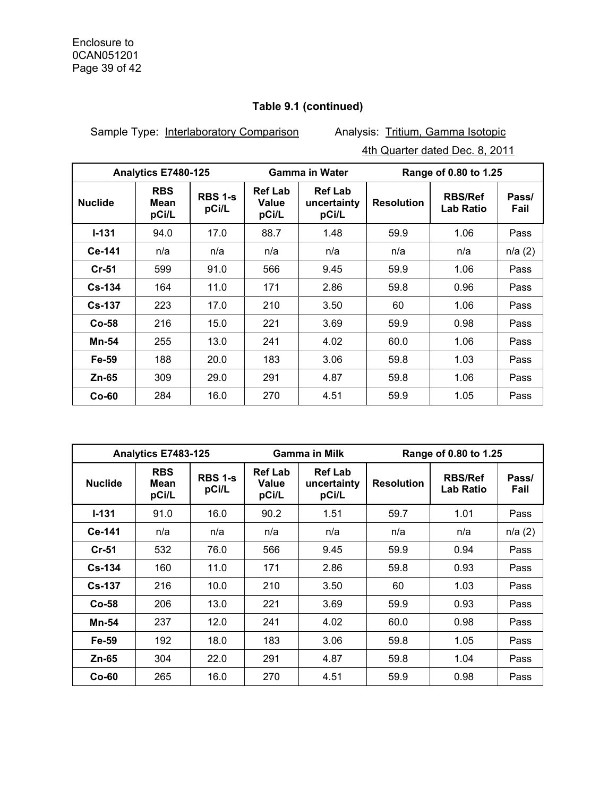Sample Type: Interlaboratory Comparison Analysis: Tritium, Gamma Isotopic

4th Quarter dated Dec. 8, 2011

| Analytics E7480-125 |                             |                         | <b>Gamma in Water</b>            |                                        | Range of 0.80 to 1.25 |                             |               |
|---------------------|-----------------------------|-------------------------|----------------------------------|----------------------------------------|-----------------------|-----------------------------|---------------|
| <b>Nuclide</b>      | <b>RBS</b><br>Mean<br>pCi/L | <b>RBS 1-s</b><br>pCi/L | <b>Ref Lab</b><br>Value<br>pCi/L | <b>Ref Lab</b><br>uncertainty<br>pCi/L | <b>Resolution</b>     | <b>RBS/Ref</b><br>Lab Ratio | Pass/<br>Fail |
| $I - 131$           | 94.0                        | 17.0                    | 88.7                             | 1.48                                   | 59.9                  | 1.06                        | Pass          |
| Ce-141              | n/a                         | n/a                     | n/a                              | n/a                                    | n/a                   | n/a                         | n/a(2)        |
| Cr-51               | 599                         | 91.0                    | 566                              | 9.45                                   | 59.9                  | 1.06                        | Pass          |
| $Cs-134$            | 164                         | 11.0                    | 171                              | 2.86                                   | 59.8                  | 0.96                        | Pass          |
| <b>Cs-137</b>       | 223                         | 17.0                    | 210                              | 3.50                                   | 60                    | 1.06                        | Pass          |
| $Co-58$             | 216                         | 15.0                    | 221                              | 3.69                                   | 59.9                  | 0.98                        | Pass          |
| Mn-54               | 255                         | 13.0                    | 241                              | 4.02                                   | 60.0                  | 1.06                        | Pass          |
| Fe-59               | 188                         | 20.0                    | 183                              | 3.06                                   | 59.8                  | 1.03                        | Pass          |
| Zn-65               | 309                         | 29.0                    | 291                              | 4.87                                   | 59.8                  | 1.06                        | Pass          |
| $Co-60$             | 284                         | 16.0                    | 270                              | 4.51                                   | 59.9                  | 1.05                        | Pass          |

| Analytics E7483-125 |                             |                         |                                  | <b>Gamma in Milk</b>                   | Range of 0.80 to 1.25 |                                    |               |
|---------------------|-----------------------------|-------------------------|----------------------------------|----------------------------------------|-----------------------|------------------------------------|---------------|
| <b>Nuclide</b>      | <b>RBS</b><br>Mean<br>pCi/L | <b>RBS 1-s</b><br>pCi/L | <b>Ref Lab</b><br>Value<br>pCi/L | <b>Ref Lab</b><br>uncertainty<br>pCi/L | <b>Resolution</b>     | <b>RBS/Ref</b><br><b>Lab Ratio</b> | Pass/<br>Fail |
| $1 - 131$           | 91.0                        | 16.0                    | 90.2                             | 1.51                                   | 59.7                  | 1.01                               | Pass          |
| Ce-141              | n/a                         | n/a                     | n/a                              | n/a                                    | n/a                   | n/a                                | n/a(2)        |
| $Cr-51$             | 532                         | 76.0                    | 566                              | 9.45                                   | 59.9                  | 0.94                               | Pass          |
| $Cs - 134$          | 160                         | 11.0                    | 171                              | 2.86                                   | 59.8                  | 0.93                               | Pass          |
| $Cs-137$            | 216                         | 10.0                    | 210                              | 3.50                                   | 60                    | 1.03                               | Pass          |
| $Co-58$             | 206                         | 13.0                    | 221                              | 3.69                                   | 59.9                  | 0.93                               | Pass          |
| Mn-54               | 237                         | 12.0                    | 241                              | 4.02                                   | 60.0                  | 0.98                               | Pass          |
| Fe-59               | 192                         | 18.0                    | 183                              | 3.06                                   | 59.8                  | 1.05                               | Pass          |
| Zn-65               | 304                         | 22.0                    | 291                              | 4.87                                   | 59.8                  | 1.04                               | Pass          |
| $Co-60$             | 265                         | 16.0                    | 270                              | 4.51                                   | 59.9                  | 0.98                               | Pass          |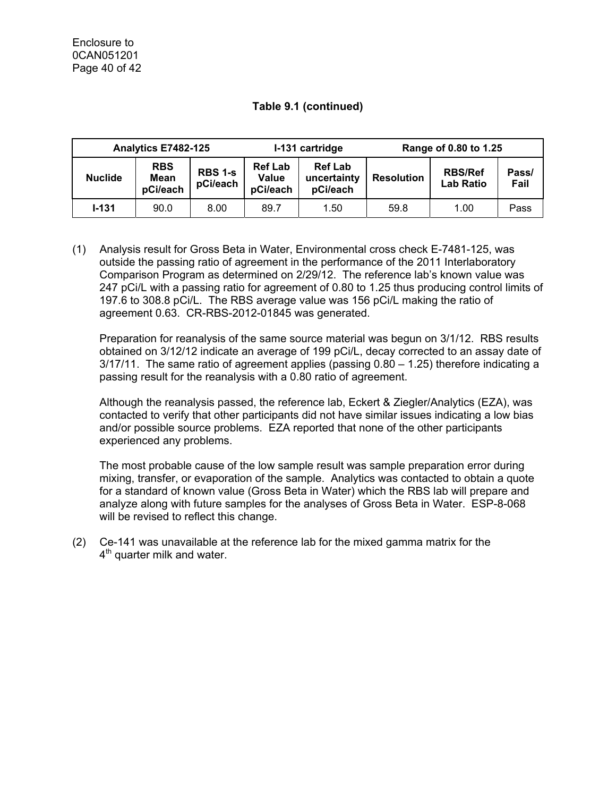| Analytics E7482-125 |                                |                            | I-131 cartridge                            |                                           | Range of 0.80 to 1.25 |                                    |               |
|---------------------|--------------------------------|----------------------------|--------------------------------------------|-------------------------------------------|-----------------------|------------------------------------|---------------|
| <b>Nuclide</b>      | <b>RBS</b><br>Mean<br>pCi/each | <b>RBS 1-s</b><br>pCi/each | <b>Ref Lab</b><br><b>Value</b><br>pCi/each | <b>Ref Lab</b><br>uncertainty<br>pCi/each | <b>Resolution</b>     | <b>RBS/Ref</b><br><b>Lab Ratio</b> | Pass/<br>Fail |
| $1 - 131$           | 90.0                           | 8.00                       | 89.7                                       | 1.50                                      | 59.8                  | 1.00                               | Pass          |

(1) Analysis result for Gross Beta in Water, Environmental cross check E-7481-125, was outside the passing ratio of agreement in the performance of the 2011 Interlaboratory Comparison Program as determined on 2/29/12. The reference lab's known value was 247 pCi/L with a passing ratio for agreement of 0.80 to 1.25 thus producing control limits of 197.6 to 308.8 pCi/L. The RBS average value was 156 pCi/L making the ratio of agreement 0.63. CR-RBS-2012-01845 was generated.

Preparation for reanalysis of the same source material was begun on 3/1/12. RBS results obtained on 3/12/12 indicate an average of 199 pCi/L, decay corrected to an assay date of  $3/17/11$ . The same ratio of agreement applies (passing  $0.80 - 1.25$ ) therefore indicating a passing result for the reanalysis with a 0.80 ratio of agreement.

Although the reanalysis passed, the reference lab, Eckert & Ziegler/Analytics (EZA), was contacted to verify that other participants did not have similar issues indicating a low bias and/or possible source problems. EZA reported that none of the other participants experienced any problems.

The most probable cause of the low sample result was sample preparation error during mixing, transfer, or evaporation of the sample. Analytics was contacted to obtain a quote for a standard of known value (Gross Beta in Water) which the RBS lab will prepare and analyze along with future samples for the analyses of Gross Beta in Water. ESP-8-068 will be revised to reflect this change.

(2) Ce-141 was unavailable at the reference lab for the mixed gamma matrix for the  $4<sup>th</sup>$  quarter milk and water.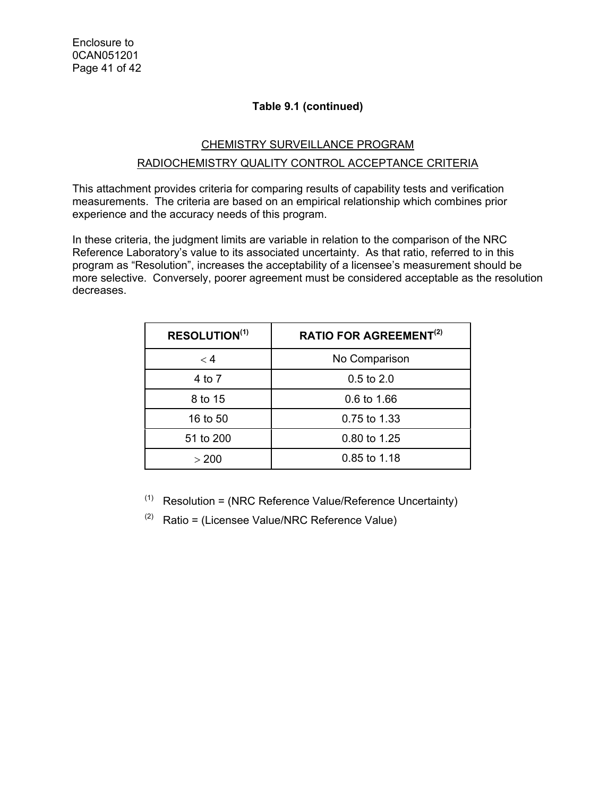# CHEMISTRY SURVEILLANCE PROGRAM RADIOCHEMISTRY QUALITY CONTROL ACCEPTANCE CRITERIA

This attachment provides criteria for comparing results of capability tests and verification measurements. The criteria are based on an empirical relationship which combines prior experience and the accuracy needs of this program.

In these criteria, the judgment limits are variable in relation to the comparison of the NRC Reference Laboratory's value to its associated uncertainty. As that ratio, referred to in this program as "Resolution", increases the acceptability of a licensee's measurement should be more selective. Conversely, poorer agreement must be considered acceptable as the resolution decreases.

| <b>RESOLUTION(1)</b> | <b>RATIO FOR AGREEMENT<sup>(2)</sup></b> |  |  |
|----------------------|------------------------------------------|--|--|
| $<$ 4                | No Comparison                            |  |  |
| 4 to 7               | $0.5$ to $2.0$                           |  |  |
| 8 to 15              | 0.6 to 1.66                              |  |  |
| 16 to 50             | 0.75 to 1.33                             |  |  |
| 51 to 200            | 0.80 to 1.25                             |  |  |
| > 200                | 0.85 to 1.18                             |  |  |

- $(1)$  Resolution = (NRC Reference Value/Reference Uncertainty)
- $(2)$  Ratio = (Licensee Value/NRC Reference Value)